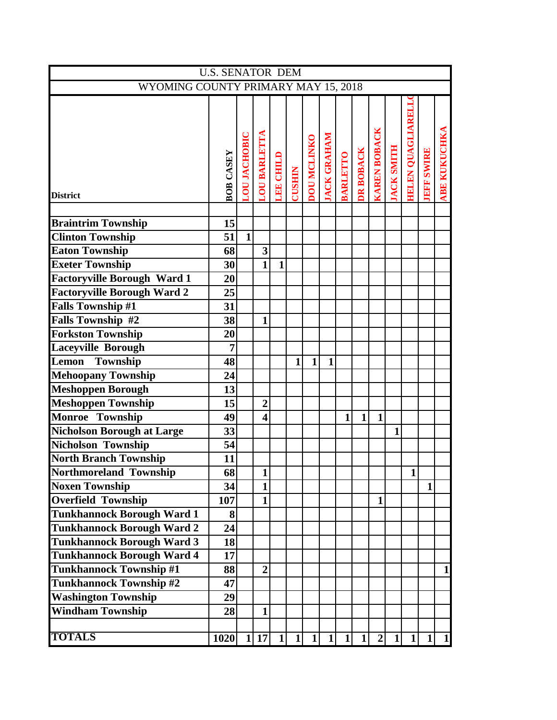|                                     | <b>U.S. SENATOR DEM</b> |                     |                         |                  |               |                    |                    |                 |              |                     |                   |                          |                   |                     |
|-------------------------------------|-------------------------|---------------------|-------------------------|------------------|---------------|--------------------|--------------------|-----------------|--------------|---------------------|-------------------|--------------------------|-------------------|---------------------|
| WYOMING COUNTY PRIMARY MAY 15, 2018 |                         |                     |                         |                  |               |                    |                    |                 |              |                     |                   |                          |                   |                     |
| <b>District</b>                     | <b>BOB CASEY</b>        | <b>LOU JACHOBIC</b> | <b>LOU BARLETTA</b>     | <b>LEE CHILD</b> | <b>CUSHIN</b> | <b>DOU MCLINKO</b> | <b>JACK GRAHAM</b> | <b>BARLETTO</b> | DR BOBACK    | <b>KAREN BOBACK</b> | <b>JACK SMITH</b> | <b>HBLEN QUAGLIARELL</b> | <b>JEFF SWIRE</b> | <b>ABE KUKUCHKA</b> |
|                                     |                         |                     |                         |                  |               |                    |                    |                 |              |                     |                   |                          |                   |                     |
| <b>Braintrim Township</b>           | 15                      |                     |                         |                  |               |                    |                    |                 |              |                     |                   |                          |                   |                     |
| <b>Clinton Township</b>             | 51                      | $\mathbf{1}$        |                         |                  |               |                    |                    |                 |              |                     |                   |                          |                   |                     |
| <b>Eaton Township</b>               | 68                      |                     | $\overline{\mathbf{3}}$ |                  |               |                    |                    |                 |              |                     |                   |                          |                   |                     |
| <b>Exeter Township</b>              | 30 <sup>1</sup>         |                     | $\mathbf{1}$            | $\mathbf{1}$     |               |                    |                    |                 |              |                     |                   |                          |                   |                     |
| <b>Factoryville Borough Ward 1</b>  | 20 <sub>l</sub>         |                     |                         |                  |               |                    |                    |                 |              |                     |                   |                          |                   |                     |
| <b>Factoryville Borough Ward 2</b>  | 25                      |                     |                         |                  |               |                    |                    |                 |              |                     |                   |                          |                   |                     |
| <b>Falls Township #1</b>            | 31                      |                     |                         |                  |               |                    |                    |                 |              |                     |                   |                          |                   |                     |
| <b>Falls Township #2</b>            | 38                      |                     | $\mathbf{1}$            |                  |               |                    |                    |                 |              |                     |                   |                          |                   |                     |
| <b>Forkston Township</b>            | 20                      |                     |                         |                  |               |                    |                    |                 |              |                     |                   |                          |                   |                     |
| Laceyville Borough                  | $\overline{7}$          |                     |                         |                  |               |                    |                    |                 |              |                     |                   |                          |                   |                     |
| Lemon<br>Township                   | 48                      |                     |                         |                  | $\mathbf{1}$  | $\mathbf{1}$       | $\mathbf{1}$       |                 |              |                     |                   |                          |                   |                     |
| <b>Mehoopany Township</b>           | 24                      |                     |                         |                  |               |                    |                    |                 |              |                     |                   |                          |                   |                     |
| <b>Meshoppen Borough</b>            | 13                      |                     |                         |                  |               |                    |                    |                 |              |                     |                   |                          |                   |                     |
| <b>Meshoppen Township</b>           | 15                      |                     | $\overline{2}$          |                  |               |                    |                    |                 |              |                     |                   |                          |                   |                     |
| Monroe Township                     | 49                      |                     | $\overline{\mathbf{4}}$ |                  |               |                    |                    | $\mathbf{1}$    | $\mathbf{1}$ | $\mathbf{1}$        |                   |                          |                   |                     |
| Nicholson Borough at Large          | 33                      |                     |                         |                  |               |                    |                    |                 |              |                     | 1                 |                          |                   |                     |
| Nicholson Township                  | 54                      |                     |                         |                  |               |                    |                    |                 |              |                     |                   |                          |                   |                     |
| <b>North Branch Township</b>        | 11                      |                     |                         |                  |               |                    |                    |                 |              |                     |                   |                          |                   |                     |
| Northmoreland Township              | 68                      |                     | $1\vert$                |                  |               |                    |                    |                 |              |                     |                   | $1\vert$                 |                   |                     |
| <b>Noxen Township</b>               | 34                      |                     | $\mathbf{1}$            |                  |               |                    |                    |                 |              |                     |                   |                          | $\mathbf{1}$      |                     |
| <b>Overfield Township</b>           | 107                     |                     | $\mathbf{1}$            |                  |               |                    |                    |                 |              | $\mathbf{1}$        |                   |                          |                   |                     |
| <b>Tunkhannock Borough Ward 1</b>   | 8 <sup>l</sup>          |                     |                         |                  |               |                    |                    |                 |              |                     |                   |                          |                   |                     |
| <b>Tunkhannock Borough Ward 2</b>   | 24                      |                     |                         |                  |               |                    |                    |                 |              |                     |                   |                          |                   |                     |
| <b>Tunkhannock Borough Ward 3</b>   | 18                      |                     |                         |                  |               |                    |                    |                 |              |                     |                   |                          |                   |                     |
| Tunkhannock Borough Ward 4          | 17                      |                     |                         |                  |               |                    |                    |                 |              |                     |                   |                          |                   |                     |
| Tunkhannock Township #1             | 88                      |                     | $\overline{2}$          |                  |               |                    |                    |                 |              |                     |                   |                          |                   | $\mathbf{1}$        |
| <b>Tunkhannock Township #2</b>      | 47                      |                     |                         |                  |               |                    |                    |                 |              |                     |                   |                          |                   |                     |
| <b>Washington Township</b>          | 29                      |                     |                         |                  |               |                    |                    |                 |              |                     |                   |                          |                   |                     |
| <b>Windham Township</b>             | 28                      |                     | $\mathbf{1}$            |                  |               |                    |                    |                 |              |                     |                   |                          |                   |                     |
|                                     |                         |                     |                         |                  |               |                    |                    |                 |              |                     |                   |                          |                   |                     |
| <b>TOTALS</b>                       | 1020                    |                     | 1 17                    | $\mathbf{1}$     | $\mathbf{1}$  | 1                  | $1\vert$           | 1               | 1            | $\overline{2}$      | $\mathbf{1}$      | $1\vert$                 | $1\overline{ }$   | $\mathbf{1}$        |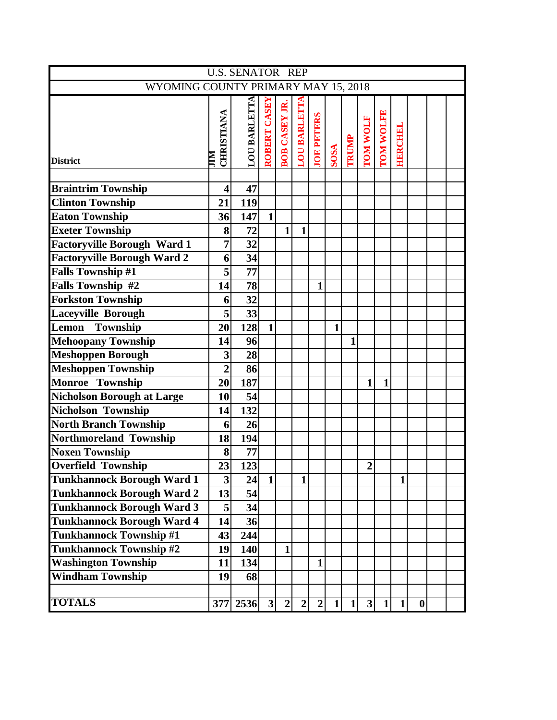|                                     |                         | <b>U.S. SENATOR REP</b> |              |                      |                     |                   |              |              |                |           |                 |                  |  |
|-------------------------------------|-------------------------|-------------------------|--------------|----------------------|---------------------|-------------------|--------------|--------------|----------------|-----------|-----------------|------------------|--|
| WYOMING COUNTY PRIMARY MAY 15, 2018 |                         |                         |              |                      |                     |                   |              |              |                |           |                 |                  |  |
| <b>District</b>                     | CHRISTIANA<br>NПr       | LOU BARLETTA            | ROBERT CASEY | <b>BOB CASEY JR.</b> | <b>LOU BARLETTA</b> | <b>JOE PETERS</b> | SOSA         | TRUMP        | TOM WOLF       | TOM WOLFE | <b>EIBRCHEL</b> |                  |  |
|                                     |                         |                         |              |                      |                     |                   |              |              |                |           |                 |                  |  |
| <b>Braintrim Township</b>           | $\overline{\mathbf{4}}$ | 47                      |              |                      |                     |                   |              |              |                |           |                 |                  |  |
| <b>Clinton Township</b>             | 21                      | 119                     |              |                      |                     |                   |              |              |                |           |                 |                  |  |
| <b>Eaton Township</b>               | 36                      | 147                     | $\mathbf{1}$ |                      |                     |                   |              |              |                |           |                 |                  |  |
| <b>Exeter Township</b>              | 8                       | 72                      |              | $\mathbf{1}$         | $\mathbf{1}$        |                   |              |              |                |           |                 |                  |  |
| <b>Factoryville Borough Ward 1</b>  | $\overline{7}$          | 32                      |              |                      |                     |                   |              |              |                |           |                 |                  |  |
| <b>Factoryville Borough Ward 2</b>  | 6                       | 34                      |              |                      |                     |                   |              |              |                |           |                 |                  |  |
| <b>Falls Township #1</b>            | 5                       | 77                      |              |                      |                     |                   |              |              |                |           |                 |                  |  |
| Falls Township #2                   | 14                      | 78                      |              |                      |                     | $\mathbf{1}$      |              |              |                |           |                 |                  |  |
| <b>Forkston Township</b>            | 6                       | 32                      |              |                      |                     |                   |              |              |                |           |                 |                  |  |
| Laceyville Borough                  | 5                       | 33                      |              |                      |                     |                   |              |              |                |           |                 |                  |  |
| Lemon<br>Township                   | 20                      | 128                     | $\mathbf{1}$ |                      |                     |                   | $\mathbf{1}$ |              |                |           |                 |                  |  |
| <b>Mehoopany Township</b>           | 14                      | 96                      |              |                      |                     |                   |              | 1            |                |           |                 |                  |  |
| <b>Meshoppen Borough</b>            | 3                       | 28                      |              |                      |                     |                   |              |              |                |           |                 |                  |  |
| <b>Meshoppen Township</b>           | $\overline{2}$          | 86                      |              |                      |                     |                   |              |              |                |           |                 |                  |  |
| Monroe Township                     | 20                      | 187                     |              |                      |                     |                   |              |              | $\mathbf 1$    | 1         |                 |                  |  |
| <b>Nicholson Borough at Large</b>   | 10                      | 54                      |              |                      |                     |                   |              |              |                |           |                 |                  |  |
| Nicholson Township                  | 14                      | 132                     |              |                      |                     |                   |              |              |                |           |                 |                  |  |
| <b>North Branch Township</b>        | 6                       | 26                      |              |                      |                     |                   |              |              |                |           |                 |                  |  |
| Northmoreland Township              | 18                      | 194                     |              |                      |                     |                   |              |              |                |           |                 |                  |  |
| <b>Noxen Township</b>               | 8                       | 77                      |              |                      |                     |                   |              |              |                |           |                 |                  |  |
| <b>Overfield Township</b>           | 23                      | 123                     |              |                      |                     |                   |              |              | $\overline{2}$ |           |                 |                  |  |
| <b>Tunkhannock Borough Ward 1</b>   | 3                       | 24                      | $\mathbf{1}$ |                      | 1                   |                   |              |              |                |           | 1               |                  |  |
| <b>Tunkhannock Borough Ward 2</b>   | 13                      | 54                      |              |                      |                     |                   |              |              |                |           |                 |                  |  |
| <b>Tunkhannock Borough Ward 3</b>   | 5                       | 34                      |              |                      |                     |                   |              |              |                |           |                 |                  |  |
| <b>Tunkhannock Borough Ward 4</b>   | 14                      | 36                      |              |                      |                     |                   |              |              |                |           |                 |                  |  |
| <b>Tunkhannock Township #1</b>      | 43                      | 244                     |              |                      |                     |                   |              |              |                |           |                 |                  |  |
| <b>Tunkhannock Township #2</b>      | 19                      | 140                     |              | 1                    |                     |                   |              |              |                |           |                 |                  |  |
| <b>Washington Township</b>          | 11                      | 134                     |              |                      |                     | $\mathbf{1}$      |              |              |                |           |                 |                  |  |
| <b>Windham Township</b>             | 19                      | 68                      |              |                      |                     |                   |              |              |                |           |                 |                  |  |
|                                     |                         |                         |              |                      |                     |                   |              |              |                |           |                 |                  |  |
| <b>TOTALS</b>                       |                         | 377 2536                | $\mathbf{3}$ | $\mathbf{2}$         | $\boldsymbol{2}$    | $\boldsymbol{2}$  | $\mathbf{1}$ | $\mathbf{1}$ | 3              | $1\vert$  | $\mathbf{1}$    | $\boldsymbol{0}$ |  |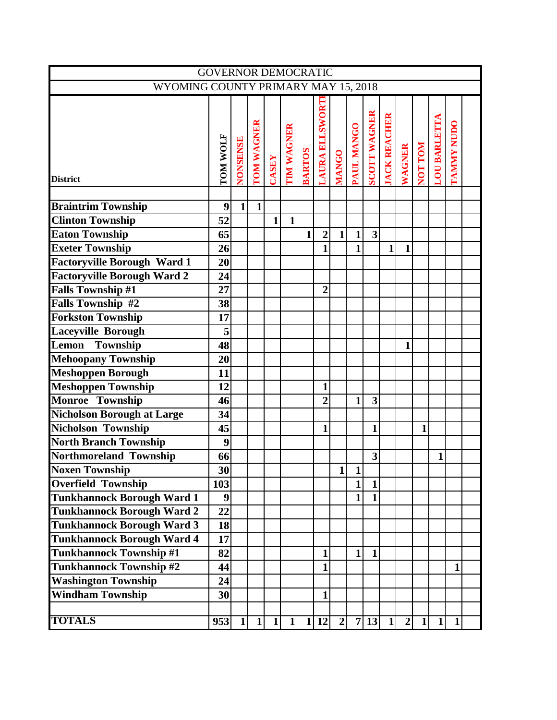|                                     | <b>GOVERNOR DEMOCRATIC</b> |                 |              |              |                   |               |                       |                |              |                     |              |                               |              |                     |              |  |
|-------------------------------------|----------------------------|-----------------|--------------|--------------|-------------------|---------------|-----------------------|----------------|--------------|---------------------|--------------|-------------------------------|--------------|---------------------|--------------|--|
| WYOMING COUNTY PRIMARY MAY 15, 2018 |                            |                 |              |              |                   |               |                       |                |              |                     |              |                               |              |                     |              |  |
| <b>District</b>                     | TOM WOLF                   | <b>NONSENSE</b> | TOM WAGNER   | CASEY        | <b>TIM WAGNER</b> | <b>BARTOS</b> | <b>LAURA ELLSWORT</b> | <b>MANGO</b>   | PAUL MANGO   | <b>SCOTT WAGNER</b> |              | <b>JACK REACHER</b><br>WAGNER | NOT TOM      | <b>LOU BARLETTA</b> | TAMMY NUDO   |  |
|                                     |                            |                 |              |              |                   |               |                       |                |              |                     |              |                               |              |                     |              |  |
| <b>Braintrim Township</b>           | 9                          | $\mathbf{1}$    | $\mathbf{1}$ |              |                   |               |                       |                |              |                     |              |                               |              |                     |              |  |
| <b>Clinton Township</b>             | 52                         |                 |              | $\mathbf{1}$ | $\mathbf{1}$      |               |                       |                |              |                     |              |                               |              |                     |              |  |
| <b>Eaton Township</b>               | 65                         |                 |              |              |                   | $\mathbf{1}$  | $\overline{2}$        | $\mathbf{1}$   | $\mathbf{1}$ | 3                   |              |                               |              |                     |              |  |
| <b>Exeter Township</b>              | 26                         |                 |              |              |                   |               | $\mathbf{1}$          |                | $\mathbf{1}$ |                     | $\mathbf{1}$ | $\mathbf{1}$                  |              |                     |              |  |
| <b>Factoryville Borough Ward 1</b>  | 20                         |                 |              |              |                   |               |                       |                |              |                     |              |                               |              |                     |              |  |
| <b>Factoryville Borough Ward 2</b>  | 24                         |                 |              |              |                   |               |                       |                |              |                     |              |                               |              |                     |              |  |
| <b>Falls Township #1</b>            | 27                         |                 |              |              |                   |               | $\overline{2}$        |                |              |                     |              |                               |              |                     |              |  |
| <b>Falls Township #2</b>            | 38                         |                 |              |              |                   |               |                       |                |              |                     |              |                               |              |                     |              |  |
| <b>Forkston Township</b>            | 17                         |                 |              |              |                   |               |                       |                |              |                     |              |                               |              |                     |              |  |
| <b>Laceyville Borough</b>           | 5                          |                 |              |              |                   |               |                       |                |              |                     |              |                               |              |                     |              |  |
| Township<br>Lemon                   | 48                         |                 |              |              |                   |               |                       |                |              |                     |              | 1                             |              |                     |              |  |
| <b>Mehoopany Township</b>           | 20                         |                 |              |              |                   |               |                       |                |              |                     |              |                               |              |                     |              |  |
| <b>Meshoppen Borough</b>            | 11                         |                 |              |              |                   |               |                       |                |              |                     |              |                               |              |                     |              |  |
| <b>Meshoppen Township</b>           | 12                         |                 |              |              |                   |               | $\mathbf{1}$          |                |              |                     |              |                               |              |                     |              |  |
| Monroe Township                     | 46                         |                 |              |              |                   |               | $\overline{2}$        |                | $\mathbf{1}$ | 3                   |              |                               |              |                     |              |  |
| <b>Nicholson Borough at Large</b>   | 34                         |                 |              |              |                   |               |                       |                |              |                     |              |                               |              |                     |              |  |
| <b>Nicholson Township</b>           | 45                         |                 |              |              |                   |               | 1                     |                |              | $\mathbf{1}$        |              |                               | $\mathbf{1}$ |                     |              |  |
| <b>North Branch Township</b>        | 9                          |                 |              |              |                   |               |                       |                |              |                     |              |                               |              |                     |              |  |
| Northmoreland Township              | 66                         |                 |              |              |                   |               |                       |                |              | $\mathbf{3}$        |              |                               |              | $\mathbf{1}$        |              |  |
| <b>Noxen Township</b>               | 30                         |                 |              |              |                   |               |                       | $\mathbf{1}$   | $\mathbf{1}$ |                     |              |                               |              |                     |              |  |
| <b>Overfield Township</b>           | 103                        |                 |              |              |                   |               |                       |                | $\mathbf{1}$ | $\mathbf{1}$        |              |                               |              |                     |              |  |
| <b>Tunkhannock Borough Ward 1</b>   | 9                          |                 |              |              |                   |               |                       |                | $\mathbf{1}$ | $\mathbf{1}$        |              |                               |              |                     |              |  |
| <b>Tunkhannock Borough Ward 2</b>   | 22                         |                 |              |              |                   |               |                       |                |              |                     |              |                               |              |                     |              |  |
| <b>Tunkhannock Borough Ward 3</b>   | 18                         |                 |              |              |                   |               |                       |                |              |                     |              |                               |              |                     |              |  |
| <b>Tunkhannock Borough Ward 4</b>   | 17                         |                 |              |              |                   |               |                       |                |              |                     |              |                               |              |                     |              |  |
| <b>Tunkhannock Township #1</b>      | 82                         |                 |              |              |                   |               | $\mathbf{1}$          |                | $\mathbf{1}$ | $\mathbf{1}$        |              |                               |              |                     |              |  |
| <b>Tunkhannock Township #2</b>      | 44                         |                 |              |              |                   |               | 1                     |                |              |                     |              |                               |              |                     | $\mathbf{1}$ |  |
| <b>Washington Township</b>          | 24                         |                 |              |              |                   |               |                       |                |              |                     |              |                               |              |                     |              |  |
| <b>Windham Township</b>             | 30                         |                 |              |              |                   |               | 1                     |                |              |                     |              |                               |              |                     |              |  |
| <b>TOTALS</b>                       | 953                        | $\mathbf{1}$    | $1\vert$     | $1\vert$     | $1\vert$          |               | 1 12                  | $\overline{2}$ |              | 7 13                | $1\vert$     | $\overline{2}$                | $1\vert$     | $\mathbf{1}$        | $\mathbf{1}$ |  |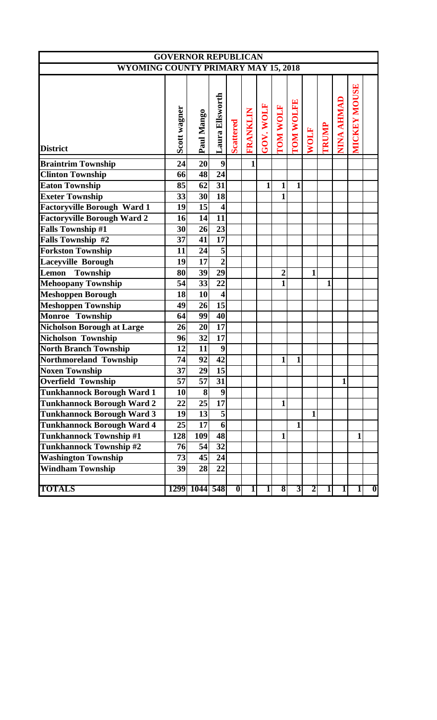|                                            | <b>GOVERNOR REPUBLICAN</b> |                 |                         |                  |              |                         |                |                |                |       |              |                     |   |
|--------------------------------------------|----------------------------|-----------------|-------------------------|------------------|--------------|-------------------------|----------------|----------------|----------------|-------|--------------|---------------------|---|
| <b>WYOMING COUNTY PRIMARY MAY 15, 2018</b> |                            |                 |                         |                  |              |                         |                |                |                |       |              |                     |   |
| <b>District</b>                            | Scott wagner               | Paul Mango      | Laura Ellsworth         | <b>Scattered</b> | FRANKLIN     | GOV. WOLF               | TOM WOLF       | TOM WOLFE      | <b>WOLF</b>    | TRUMP | NINA AHMAD   | <b>MICKEY MOUSE</b> |   |
| <b>Braintrim Township</b>                  | 24                         | 20              | $\overline{9}$          |                  | $\mathbf{1}$ |                         |                |                |                |       |              |                     |   |
| <b>Clinton Township</b>                    | 66                         | 48              | $\overline{24}$         |                  |              |                         |                |                |                |       |              |                     |   |
| <b>Eaton Township</b>                      | 85                         | 62              | $\overline{31}$         |                  |              | $\mathbf{1}$            | 1              | 1              |                |       |              |                     |   |
| <b>Exeter Township</b>                     | 33                         | 30 <sup>l</sup> | 18                      |                  |              |                         | $\mathbf{1}$   |                |                |       |              |                     |   |
| <b>Factoryville Borough Ward 1</b>         | 19                         | 15              | $\overline{\mathbf{4}}$ |                  |              |                         |                |                |                |       |              |                     |   |
| <b>Factoryville Borough Ward 2</b>         | 16                         | 14              | $\overline{11}$         |                  |              |                         |                |                |                |       |              |                     |   |
| <b>Falls Township #1</b>                   | 30                         | 26              | $\overline{23}$         |                  |              |                         |                |                |                |       |              |                     |   |
| Falls Township #2                          | 37                         | 41              | $\overline{17}$         |                  |              |                         |                |                |                |       |              |                     |   |
| <b>Forkston Township</b>                   | 11                         | 24              | $\overline{5}$          |                  |              |                         |                |                |                |       |              |                     |   |
| <b>Laceyville Borough</b>                  | 19                         | 17              | $\overline{2}$          |                  |              |                         |                |                |                |       |              |                     |   |
| Lemon<br><b>Township</b>                   | 80                         | 39              | $\overline{29}$         |                  |              |                         | $\overline{2}$ |                | $\mathbf{1}$   |       |              |                     |   |
| <b>Mehoopany Township</b>                  | 54                         | 33              | 22                      |                  |              |                         | $\mathbf{1}$   |                |                | 1     |              |                     |   |
| <b>Meshoppen Borough</b>                   | 18                         | 10 <sup>1</sup> | $\overline{\mathbf{4}}$ |                  |              |                         |                |                |                |       |              |                     |   |
| <b>Meshoppen Township</b>                  | 49                         | 26              | 15                      |                  |              |                         |                |                |                |       |              |                     |   |
| <b>Monroe Township</b>                     | 64                         | 99              | 40                      |                  |              |                         |                |                |                |       |              |                     |   |
| <b>Nicholson Borough at Large</b>          | 26                         | 20              | 17                      |                  |              |                         |                |                |                |       |              |                     |   |
| Nicholson Township                         | 96                         | 32              | 17                      |                  |              |                         |                |                |                |       |              |                     |   |
| <b>North Branch Township</b>               | 12                         | 11              | $\boldsymbol{9}$        |                  |              |                         |                |                |                |       |              |                     |   |
| Northmoreland Township                     | 74                         | 92              | 42                      |                  |              |                         | 1              | $\mathbf{1}$   |                |       |              |                     |   |
| <b>Noxen Township</b>                      | $\overline{37}$            | 29              | $\overline{15}$         |                  |              |                         |                |                |                |       |              |                     |   |
| <b>Overfield Township</b>                  | $\overline{57}$            | 57              | $\overline{31}$         |                  |              |                         |                |                |                |       | $\mathbf{1}$ |                     |   |
| <b>Tunkhannock Borough Ward 1</b>          | 10                         | $\bf{8}$        | $\boldsymbol{9}$        |                  |              |                         |                |                |                |       |              |                     |   |
| <b>Tunkhannock Borough Ward 2</b>          | 22                         | 25              | $\overline{17}$         |                  |              |                         | 1              |                |                |       |              |                     |   |
| <b>Tunkhannock Borough Ward 3</b>          | 19                         | 13              | $\overline{\mathbf{5}}$ |                  |              |                         |                |                | $\mathbf{1}$   |       |              |                     |   |
| <b>Tunkhannock Borough Ward 4</b>          | 25                         | 17              | 6                       |                  |              |                         |                | $\mathbf{1}$   |                |       |              |                     |   |
| <b>Tunkhannock Township #1</b>             | 128                        | 109             | 48                      |                  |              |                         | $\mathbf{1}$   |                |                |       |              | $\mathbf{1}$        |   |
| Tunkhannock Township #2                    | 76                         | 54              | 32                      |                  |              |                         |                |                |                |       |              |                     |   |
| <b>Washington Township</b>                 | 73                         | 45              | 24                      |                  |              |                         |                |                |                |       |              |                     |   |
| <b>Windham Township</b>                    | 39                         | 28              | 22                      |                  |              |                         |                |                |                |       |              |                     |   |
| <b>TOTALS</b>                              |                            | 1299 1044 548   |                         | $\boldsymbol{0}$ | 1            | $\overline{\mathbf{1}}$ | $\bf{8}$       | $\overline{3}$ | $\overline{2}$ | 1     | $\mathbf{1}$ | $\mathbf{1}$        | 0 |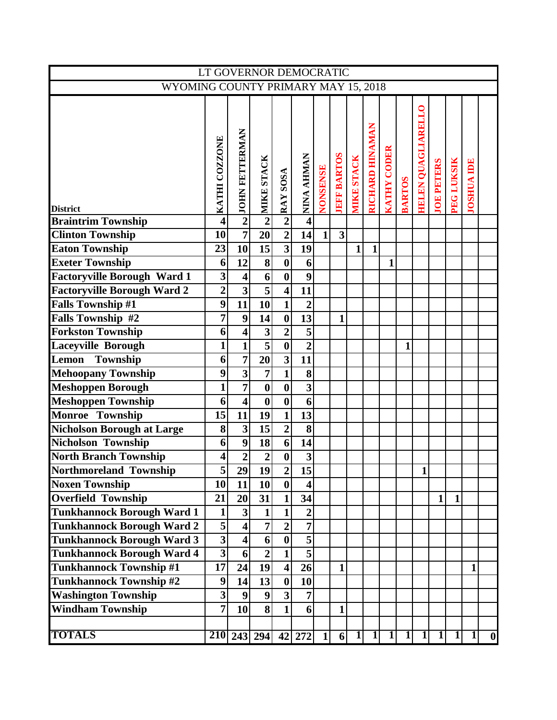|                                     |                         |                           | LT GOVERNOR DEMOCRATIC  |                         |                         |          |                         |                   |                        |                    |               |                    |                   |              |                   |                  |
|-------------------------------------|-------------------------|---------------------------|-------------------------|-------------------------|-------------------------|----------|-------------------------|-------------------|------------------------|--------------------|---------------|--------------------|-------------------|--------------|-------------------|------------------|
| WYOMING COUNTY PRIMARY MAY 15, 2018 |                         |                           |                         |                         |                         |          |                         |                   |                        |                    |               |                    |                   |              |                   |                  |
|                                     |                         |                           |                         |                         |                         |          |                         |                   |                        |                    |               |                    |                   |              |                   |                  |
|                                     |                         | <b>JOHN FETTERMAN</b>     |                         |                         |                         |          |                         |                   | <b>RICHARD HINAMAN</b> |                    |               | HELEN QUAGLIARELLO |                   |              |                   |                  |
| <b>District</b>                     | KATHI COZZONE           |                           | NINE STACK              | SOSA<br>$\sim$ RAY !    | NINA AHMAN              | NONSENSE | <b>JEFF BARTOS</b>      | <b>MIKE STACK</b> |                        | <b>KATHY CODER</b> | <b>BARTOS</b> |                    | <b>JOE PETERS</b> | PEG LUKSIK   | <b>JOSHUA IDE</b> |                  |
| <b>Braintrim Township</b>           | $\overline{\mathbf{4}}$ | $\overline{2}$            |                         |                         | $\overline{\mathbf{4}}$ |          |                         |                   |                        |                    |               |                    |                   |              |                   |                  |
| <b>Clinton Township</b>             | 10                      | $\overline{7}$            | 20                      | $\overline{2}$          | 14                      | 1        | $\overline{\mathbf{3}}$ |                   |                        |                    |               |                    |                   |              |                   |                  |
| <b>Eaton Township</b>               | 23                      | 10                        | $\overline{15}$         | $\overline{\mathbf{3}}$ | 19                      |          |                         | $\mathbf{1}$      | $\mathbf{1}$           |                    |               |                    |                   |              |                   |                  |
| <b>Exeter Township</b>              | 6                       | 12                        | $\overline{\mathbf{8}}$ | $\bf{0}$                | 6                       |          |                         |                   |                        | 1                  |               |                    |                   |              |                   |                  |
| <b>Factoryville Borough Ward 1</b>  | $\overline{\mathbf{3}}$ | $\overline{\mathbf{4}}$   | 6                       | $\boldsymbol{0}$        | $\boldsymbol{9}$        |          |                         |                   |                        |                    |               |                    |                   |              |                   |                  |
| <b>Factoryville Borough Ward 2</b>  | $\overline{2}$          | $\overline{\mathbf{3}}$   | $\overline{\mathbf{5}}$ | $\overline{\mathbf{4}}$ | 11                      |          |                         |                   |                        |                    |               |                    |                   |              |                   |                  |
| <b>Falls Township #1</b>            | 9                       | 11                        | 10                      | $\mathbf{1}$            | $\boldsymbol{2}$        |          |                         |                   |                        |                    |               |                    |                   |              |                   |                  |
| <b>Falls Township #2</b>            | 7                       | $\boldsymbol{9}$          | 14                      | $\overline{\mathbf{0}}$ | 13                      |          | $\mathbf{1}$            |                   |                        |                    |               |                    |                   |              |                   |                  |
| <b>Forkston Township</b>            | 6                       | $\overline{\mathbf{4}}$   | $\overline{\mathbf{3}}$ | $\overline{2}$          | $\overline{\mathbf{5}}$ |          |                         |                   |                        |                    |               |                    |                   |              |                   |                  |
| <b>Laceyville Borough</b>           | 1                       | $\mathbf{1}$              | $\overline{5}$          | $\overline{\mathbf{0}}$ | $\overline{2}$          |          |                         |                   |                        |                    | 1             |                    |                   |              |                   |                  |
| Township<br>Lemon                   | 6                       | $\overline{7}$            | $\overline{20}$         | $\overline{\mathbf{3}}$ | 11                      |          |                         |                   |                        |                    |               |                    |                   |              |                   |                  |
| <b>Mehoopany Township</b>           | 9                       | $\overline{\overline{3}}$ | 7                       | $\mathbf{1}$            | 8                       |          |                         |                   |                        |                    |               |                    |                   |              |                   |                  |
| <b>Meshoppen Borough</b>            | 1                       | $\overline{7}$            | $\bf{0}$                | $\boldsymbol{0}$        | $\overline{\mathbf{3}}$ |          |                         |                   |                        |                    |               |                    |                   |              |                   |                  |
| <b>Meshoppen Township</b>           | 6                       | $\overline{\mathbf{4}}$   | $\boldsymbol{0}$        | $\boldsymbol{0}$        | 6                       |          |                         |                   |                        |                    |               |                    |                   |              |                   |                  |
| Monroe Township                     | 15                      | $\overline{11}$           | $\overline{19}$         | $\mathbf{1}$            | $\overline{13}$         |          |                         |                   |                        |                    |               |                    |                   |              |                   |                  |
| <b>Nicholson Borough at Large</b>   | 8                       | $\overline{\mathbf{3}}$   | 15                      | $\overline{2}$          | 8                       |          |                         |                   |                        |                    |               |                    |                   |              |                   |                  |
| <b>Nicholson Township</b>           | 6                       | $\boldsymbol{9}$          | 18                      | 6 <sup>1</sup>          | 14                      |          |                         |                   |                        |                    |               |                    |                   |              |                   |                  |
| <b>North Branch Township</b>        | 4                       | $\overline{2}$            | $\overline{2}$          | $\boldsymbol{0}$        | $\overline{\mathbf{3}}$ |          |                         |                   |                        |                    |               |                    |                   |              |                   |                  |
| Northmoreland Township              | $\overline{5}$          | 29                        | 19                      | $\overline{2}$          | $\overline{15}$         |          |                         |                   |                        |                    |               | 1                  |                   |              |                   |                  |
| <b>Noxen Township</b>               | 10                      | 11                        | 10                      | 0                       | $\overline{\mathbf{4}}$ |          |                         |                   |                        |                    |               |                    |                   |              |                   |                  |
| <b>Overfield Township</b>           | 21                      | 20                        | $\overline{31}$         | $\mathbf{1}$            | 34                      |          |                         |                   |                        |                    |               |                    | $1\vert$          | $\mathbf{1}$ |                   |                  |
| <b>Tunkhannock Borough Ward 1</b>   | $\mathbf{1}$            | $\overline{\mathbf{3}}$   | $\mathbf{1}$            | $\mathbf{1}$            | $\overline{2}$          |          |                         |                   |                        |                    |               |                    |                   |              |                   |                  |
| <b>Tunkhannock Borough Ward 2</b>   | $\overline{\mathbf{5}}$ | $\overline{\mathbf{4}}$   | $\overline{7}$          | $\overline{2}$          | $\overline{7}$          |          |                         |                   |                        |                    |               |                    |                   |              |                   |                  |
| <b>Tunkhannock Borough Ward 3</b>   | $\overline{\mathbf{3}}$ | $\overline{\mathbf{A}}$   | 6                       | $\boldsymbol{0}$        | $\overline{\mathbf{5}}$ |          |                         |                   |                        |                    |               |                    |                   |              |                   |                  |
| <b>Tunkhannock Borough Ward 4</b>   | $\overline{\mathbf{3}}$ | $6 \mid$                  | $\overline{2}$          | $\mathbf{1}$            | $\overline{\mathbf{5}}$ |          |                         |                   |                        |                    |               |                    |                   |              |                   |                  |
| <b>Tunkhannock Township #1</b>      | 17                      | 24                        | 19                      | $\vert 4 \vert$         | $\overline{26}$         |          | $\mathbf{1}$            |                   |                        |                    |               |                    |                   |              | $\mathbf{1}$      |                  |
| <b>Tunkhannock Township #2</b>      | 9                       | 14                        | 13                      | 0                       | 10                      |          |                         |                   |                        |                    |               |                    |                   |              |                   |                  |
| <b>Washington Township</b>          | $\overline{\mathbf{3}}$ | $\boldsymbol{9}$          | $\boldsymbol{9}$        | $\overline{\mathbf{3}}$ | $\overline{7}$          |          |                         |                   |                        |                    |               |                    |                   |              |                   |                  |
| <b>Windham Township</b>             | 7                       | 10                        | $\overline{\mathbf{8}}$ | $\mathbf{1}$            | $6 \overline{6}$        |          | $\mathbf{1}$            |                   |                        |                    |               |                    |                   |              |                   |                  |
|                                     |                         |                           |                         |                         |                         |          |                         |                   |                        |                    |               |                    |                   |              |                   |                  |
| <b>TOTALS</b>                       |                         |                           | 210 243 294             | 42                      | 272                     | $1\vert$ | 6 <sup>1</sup>          | $\overline{1}$    | $\mathbf{1}$           | $\mathbf{1}$       | $\mathbf{1}$  | 1                  | $\overline{1}$    |              | $\mathbf{1}$      | $\boldsymbol{0}$ |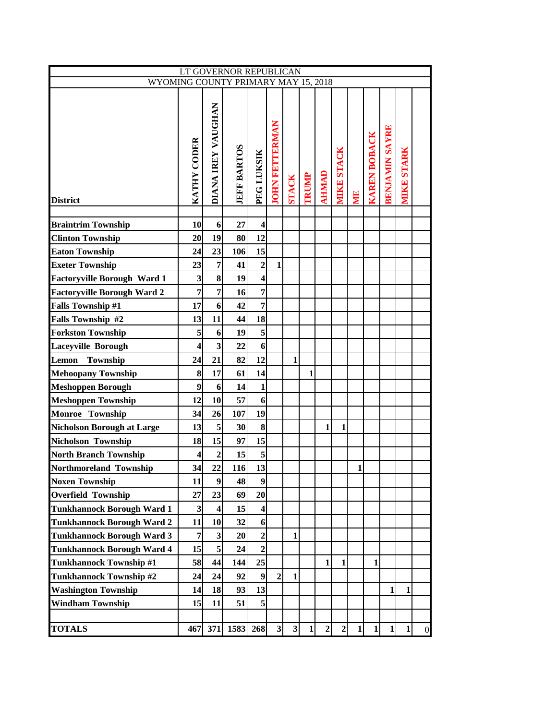|                                     | LT GOVERNOR REPUBLICAN  |                           |                    |                         |                         |                         |              |                |                |              |                     |                       |                   |                  |
|-------------------------------------|-------------------------|---------------------------|--------------------|-------------------------|-------------------------|-------------------------|--------------|----------------|----------------|--------------|---------------------|-----------------------|-------------------|------------------|
| WYOMING COUNTY PRIMARY MAY 15, 2018 |                         |                           |                    |                         |                         |                         |              |                |                |              |                     |                       |                   |                  |
| <b>District</b>                     | KATHY CODER             | <b>DIANA IREY VAUGHAN</b> | <b>JEFF BARTOS</b> | PEG LUKSIK              | <b>JOHN FETTERMAN</b>   | <b>STACK</b>            | <b>TRUMP</b> | <b>AHNIAD</b>  | MIKE STACK     | <b>NN</b>    | <b>KAREN BOBACK</b> | <b>BENJAMIN SAYRE</b> | <b>MIKE STARK</b> |                  |
| <b>Braintrim Township</b>           | 10                      | 6                         | 27                 | $\overline{\mathbf{4}}$ |                         |                         |              |                |                |              |                     |                       |                   |                  |
| <b>Clinton Township</b>             | 20                      | 19                        | 80                 | 12                      |                         |                         |              |                |                |              |                     |                       |                   |                  |
| <b>Eaton Township</b>               | 24                      | 23                        | 106                | 15                      |                         |                         |              |                |                |              |                     |                       |                   |                  |
| <b>Exeter Township</b>              | 23                      | $\overline{7}$            | 41                 | $\overline{2}$          | 1                       |                         |              |                |                |              |                     |                       |                   |                  |
| <b>Factoryville Borough Ward 1</b>  | $\overline{\mathbf{3}}$ | 8                         | 19                 | 4                       |                         |                         |              |                |                |              |                     |                       |                   |                  |
| <b>Factoryville Borough Ward 2</b>  | 7                       | $\overline{7}$            | 16                 | $\overline{7}$          |                         |                         |              |                |                |              |                     |                       |                   |                  |
| <b>Falls Township #1</b>            | 17                      | 6                         | 42                 | $\overline{7}$          |                         |                         |              |                |                |              |                     |                       |                   |                  |
| Falls Township #2                   | 13                      | 11                        | 44                 | 18                      |                         |                         |              |                |                |              |                     |                       |                   |                  |
| <b>Forkston Township</b>            | 5                       | 6                         | 19                 | 5                       |                         |                         |              |                |                |              |                     |                       |                   |                  |
| <b>Laceyville Borough</b>           | 4                       | $\overline{\mathbf{3}}$   | 22                 | 6                       |                         |                         |              |                |                |              |                     |                       |                   |                  |
| Lemon<br>Township                   | 24                      | 21                        | 82                 | 12                      |                         | 1                       |              |                |                |              |                     |                       |                   |                  |
| <b>Mehoopany Township</b>           | 8                       | 17                        | 61                 | 14                      |                         |                         | 1            |                |                |              |                     |                       |                   |                  |
| <b>Meshoppen Borough</b>            | 9                       | 6                         | 14                 | $\mathbf{1}$            |                         |                         |              |                |                |              |                     |                       |                   |                  |
| <b>Meshoppen Township</b>           | 12                      | 10                        | 57                 | 6                       |                         |                         |              |                |                |              |                     |                       |                   |                  |
| Monroe Township                     | 34                      | 26                        | 107                | 19                      |                         |                         |              |                |                |              |                     |                       |                   |                  |
| <b>Nicholson Borough at Large</b>   | 13                      | 5                         | 30                 | 8                       |                         |                         |              | 1              | 1              |              |                     |                       |                   |                  |
| Nicholson Township                  | 18                      | 15                        | 97                 | 15                      |                         |                         |              |                |                |              |                     |                       |                   |                  |
| <b>North Branch Township</b>        | $\overline{\mathbf{4}}$ | $\overline{2}$            | 15                 | 5                       |                         |                         |              |                |                |              |                     |                       |                   |                  |
| <b>Northmoreland Township</b>       | 34                      | 22                        | 116                | 13                      |                         |                         |              |                |                | $\mathbf{1}$ |                     |                       |                   |                  |
| <b>Noxen Township</b>               | 11                      | $\boldsymbol{9}$          | 48                 | 9                       |                         |                         |              |                |                |              |                     |                       |                   |                  |
| <b>Overfield Township</b>           | 27                      | 23                        | 69                 | 20                      |                         |                         |              |                |                |              |                     |                       |                   |                  |
| <b>Tunkhannock Borough Ward 1</b>   | 3                       | $\overline{\mathbf{4}}$   | 15                 | $\overline{\mathbf{4}}$ |                         |                         |              |                |                |              |                     |                       |                   |                  |
| <b>Tunkhannock Borough Ward 2</b>   | 11                      | 10                        | 32                 | 6                       |                         |                         |              |                |                |              |                     |                       |                   |                  |
| <b>Tunkhannock Borough Ward 3</b>   | 7                       | $\mathbf{3}$              | 20                 | $\overline{2}$          |                         | 1                       |              |                |                |              |                     |                       |                   |                  |
| <b>Tunkhannock Borough Ward 4</b>   | 15                      | 5                         | 24                 | $\overline{2}$          |                         |                         |              |                |                |              |                     |                       |                   |                  |
| <b>Tunkhannock Township #1</b>      | 58                      | 44                        | 144                | 25                      |                         |                         |              | $\mathbf{1}$   | 1              |              | 1                   |                       |                   |                  |
| <b>Tunkhannock Township #2</b>      | 24                      | 24                        | 92                 | $\boldsymbol{9}$        | $\overline{2}$          | $\mathbf{1}$            |              |                |                |              |                     |                       |                   |                  |
| <b>Washington Township</b>          | 14                      | 18                        | 93                 | 13                      |                         |                         |              |                |                |              |                     | 1                     | 1                 |                  |
| <b>Windham Township</b>             | 15                      | 11                        | 51                 | 5                       |                         |                         |              |                |                |              |                     |                       |                   |                  |
|                                     |                         |                           |                    |                         |                         |                         |              |                |                |              |                     |                       |                   |                  |
| <b>TOTALS</b>                       | 467                     | 371                       | 1583               | 268                     | $\overline{\mathbf{3}}$ | $\overline{\mathbf{3}}$ | $\mathbf{1}$ | $\overline{2}$ | $\overline{2}$ | $\mathbf{1}$ | $1\vert$            | $\mathbf{1}$          | $\mathbf{1}$      | $\boldsymbol{0}$ |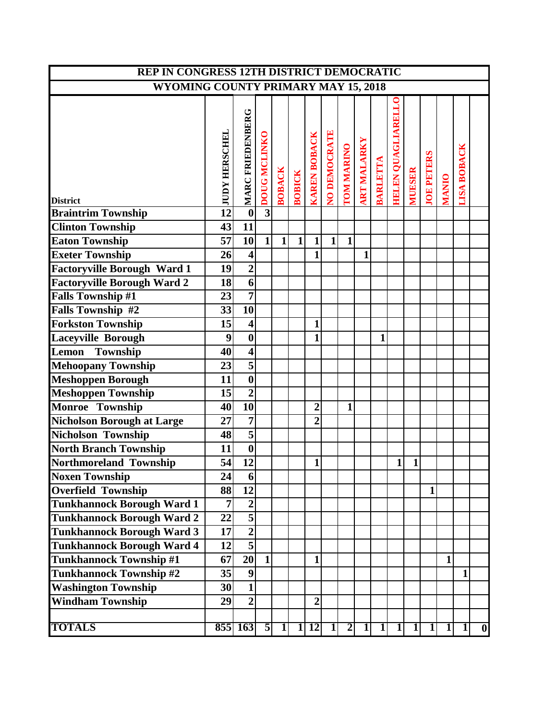| REP IN CONGRESS 12TH DISTRICT DEMOCRATIC                                 |                       |                         |                     |               |                |                              |              |                         |                    |              |                           |               |                   |              |                    |                  |
|--------------------------------------------------------------------------|-----------------------|-------------------------|---------------------|---------------|----------------|------------------------------|--------------|-------------------------|--------------------|--------------|---------------------------|---------------|-------------------|--------------|--------------------|------------------|
| <b>WYOMING COUNTY PRIMARY MAY 15, 2018</b>                               |                       |                         |                     |               |                |                              |              |                         |                    |              |                           |               |                   |              |                    |                  |
|                                                                          |                       |                         |                     |               |                |                              |              |                         |                    |              |                           |               |                   |              |                    |                  |
|                                                                          | <b>JUDY HERSCHEL</b>  | MARC FRIEDENBERG        | <b>DOUG MCLINKO</b> | <b>BOBACK</b> |                | <b>KAREN BOBACK</b>          | NO DEMOCRATE | TOM MARINO              | <b>ART MALARKY</b> | BARLETTA     | <b>HELEN QUAGLIARELLO</b> | <b>MUESER</b> | <b>JOE PETERS</b> |              | <b>LISA BOBACK</b> |                  |
|                                                                          |                       |                         |                     |               | <b>BOBICK</b>  |                              |              |                         |                    |              |                           |               |                   | <b>MANIO</b> |                    |                  |
| <b>District</b>                                                          | $\overline{12}$       | $\overline{\mathbf{0}}$ | $\overline{3}$      |               |                |                              |              |                         |                    |              |                           |               |                   |              |                    |                  |
| <b>Braintrim Township</b>                                                |                       |                         |                     |               |                |                              |              |                         |                    |              |                           |               |                   |              |                    |                  |
| <b>Clinton Township</b>                                                  | 43<br>$\overline{57}$ | 11<br>10                | $\mathbf{1}$        | 1             | $\mathbf{1}$   |                              | $\mathbf{1}$ | 1                       |                    |              |                           |               |                   |              |                    |                  |
| <b>Eaton Township</b>                                                    | 26                    |                         |                     |               |                | $\mathbf{1}$<br>$\mathbf{1}$ |              |                         | 1                  |              |                           |               |                   |              |                    |                  |
| <b>Exeter Township</b>                                                   | 19                    | $\overline{\mathbf{4}}$ |                     |               |                |                              |              |                         |                    |              |                           |               |                   |              |                    |                  |
| <b>Factoryville Borough Ward 1</b><br><b>Factoryville Borough Ward 2</b> | 18                    | $\frac{2}{6}$           |                     |               |                |                              |              |                         |                    |              |                           |               |                   |              |                    |                  |
| <b>Falls Township #1</b>                                                 | 23                    | $\overline{7}$          |                     |               |                |                              |              |                         |                    |              |                           |               |                   |              |                    |                  |
| Falls Township #2                                                        | 33                    | $\overline{10}$         |                     |               |                |                              |              |                         |                    |              |                           |               |                   |              |                    |                  |
| <b>Forkston Township</b>                                                 | 15                    | $\overline{\mathbf{4}}$ |                     |               |                | 1                            |              |                         |                    |              |                           |               |                   |              |                    |                  |
| <b>Laceyville Borough</b>                                                | 9                     | $\boldsymbol{0}$        |                     |               |                | $\mathbf{1}$                 |              |                         |                    | $\mathbf{1}$ |                           |               |                   |              |                    |                  |
| Township<br>Lemon                                                        | 40                    | $\overline{\bf{4}}$     |                     |               |                |                              |              |                         |                    |              |                           |               |                   |              |                    |                  |
| <b>Mehoopany Township</b>                                                | 23                    | $\overline{\mathbf{5}}$ |                     |               |                |                              |              |                         |                    |              |                           |               |                   |              |                    |                  |
| <b>Meshoppen Borough</b>                                                 | 11                    | $\overline{\mathbf{0}}$ |                     |               |                |                              |              |                         |                    |              |                           |               |                   |              |                    |                  |
| <b>Meshoppen Township</b>                                                | 15                    | $\overline{2}$          |                     |               |                |                              |              |                         |                    |              |                           |               |                   |              |                    |                  |
| Monroe Township                                                          | 40                    | $\overline{10}$         |                     |               |                | $\overline{2}$               |              | $\mathbf{1}$            |                    |              |                           |               |                   |              |                    |                  |
| <b>Nicholson Borough at Large</b>                                        | 27                    | $\overline{7}$          |                     |               |                | $\overline{2}$               |              |                         |                    |              |                           |               |                   |              |                    |                  |
| Nicholson Township                                                       | 48                    | $\overline{\mathbf{5}}$ |                     |               |                |                              |              |                         |                    |              |                           |               |                   |              |                    |                  |
| <b>North Branch Township</b>                                             | 11                    | $\overline{\mathbf{0}}$ |                     |               |                |                              |              |                         |                    |              |                           |               |                   |              |                    |                  |
| Northmoreland Township                                                   | 54                    | 12                      |                     |               |                | $\mathbf{1}$                 |              |                         |                    |              | $\mathbf{1}$              | $\mathbf{1}$  |                   |              |                    |                  |
|                                                                          | 24                    | 6                       |                     |               |                |                              |              |                         |                    |              |                           |               |                   |              |                    |                  |
| <b>Noxen Township</b><br><b>Overfield Township</b>                       | 88                    | $\overline{12}$         |                     |               |                |                              |              |                         |                    |              |                           |               | 1                 |              |                    |                  |
| <b>Tunkhannock Borough Ward 1</b>                                        | $\overline{7}$        | $\overline{2}$          |                     |               |                |                              |              |                         |                    |              |                           |               |                   |              |                    |                  |
| <b>Tunkhannock Borough Ward 2</b>                                        | 22                    | $\overline{5}$          |                     |               |                |                              |              |                         |                    |              |                           |               |                   |              |                    |                  |
| <b>Tunkhannock Borough Ward 3</b>                                        | 17                    | $\overline{2}$          |                     |               |                |                              |              |                         |                    |              |                           |               |                   |              |                    |                  |
| Tunkhannock Borough Ward 4                                               | 12                    | $\overline{\mathbf{5}}$ |                     |               |                |                              |              |                         |                    |              |                           |               |                   |              |                    |                  |
| <b>Tunkhannock Township #1</b>                                           | 67                    | 20                      | $\mathbf{1}$        |               |                | $\mathbf{1}$                 |              |                         |                    |              |                           |               |                   | 1            |                    |                  |
|                                                                          | 35                    | $\boldsymbol{9}$        |                     |               |                |                              |              |                         |                    |              |                           |               |                   |              | 1                  |                  |
| <b>Tunkhannock Township #2</b><br><b>Washington Township</b>             | 30                    | $\overline{\mathbf{1}}$ |                     |               |                |                              |              |                         |                    |              |                           |               |                   |              |                    |                  |
| <b>Windham Township</b>                                                  | 29                    | $\overline{2}$          |                     |               |                | $\boldsymbol{2}$             |              |                         |                    |              |                           |               |                   |              |                    |                  |
|                                                                          |                       |                         |                     |               |                |                              |              |                         |                    |              |                           |               |                   |              |                    |                  |
| <b>TOTALS</b>                                                            |                       | 855 163                 | $\overline{5}$      | 1             | $\overline{1}$ | <b>12</b>                    | $\mathbf{1}$ | $\overline{\mathbf{2}}$ | 1                  | 1            | 1                         | $1\vert$      | $1\vert$          | 1            | 1                  | $\boldsymbol{0}$ |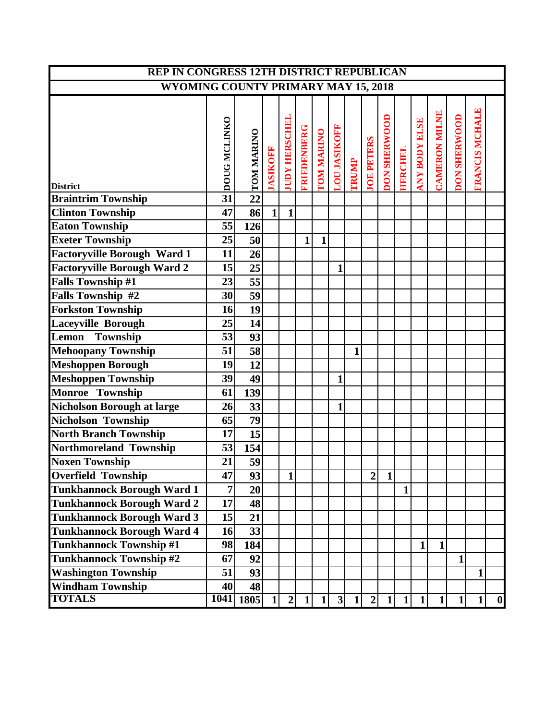| <b>REP IN CONGRESS 12TH DISTRICT REPUBLICAN</b> |             |                 |                 |                      |                    |                   |                             |                |                   |                     |                |                      |               |                     |                       |   |
|-------------------------------------------------|-------------|-----------------|-----------------|----------------------|--------------------|-------------------|-----------------------------|----------------|-------------------|---------------------|----------------|----------------------|---------------|---------------------|-----------------------|---|
| <b>WYOMING COUNTY PRIMARY MAY 15, 2018</b>      |             |                 |                 |                      |                    |                   |                             |                |                   |                     |                |                      |               |                     |                       |   |
| <b>District</b>                                 | concretives | TOM MARINO      | <b>IASIKOFF</b> | <b>JUDY HERSCHEI</b> | <b>FRIEDENBERG</b> | <b>TOM MARINO</b> | <b>LOU JASIKOFF</b>         | <b>TRUMP</b>   | <b>JOE PETERS</b> | <b>DON SHERWOOD</b> | <b>HERCHEL</b> | <b>ANY BODY ELSE</b> | CAMERON MILNE | <b>DON SHERWOOD</b> | <b>FRANCIS MCHALE</b> |   |
| <b>Braintrim Township</b>                       |             | $\overline{22}$ |                 |                      |                    |                   |                             |                |                   |                     |                |                      |               |                     |                       |   |
| <b>Clinton Township</b>                         | 47          | 86              | $1\vert$        | $\mathbf{1}$         |                    |                   |                             |                |                   |                     |                |                      |               |                     |                       |   |
| <b>Eaton Township</b>                           | 55          | 126             |                 |                      |                    |                   |                             |                |                   |                     |                |                      |               |                     |                       |   |
| <b>Exeter Township</b>                          | 25          | 50              |                 |                      | $\mathbf{1}$       | $\mathbf{1}$      |                             |                |                   |                     |                |                      |               |                     |                       |   |
| <b>Factoryville Borough Ward 1</b>              | 11          | 26              |                 |                      |                    |                   |                             |                |                   |                     |                |                      |               |                     |                       |   |
| <b>Factoryville Borough Ward 2</b>              | 15          | 25              |                 |                      |                    |                   | 1                           |                |                   |                     |                |                      |               |                     |                       |   |
| <b>Falls Township #1</b>                        | 23          | $\overline{55}$ |                 |                      |                    |                   |                             |                |                   |                     |                |                      |               |                     |                       |   |
| Falls Township #2                               | 30          | 59              |                 |                      |                    |                   |                             |                |                   |                     |                |                      |               |                     |                       |   |
| <b>Forkston Township</b>                        | 16          | 19              |                 |                      |                    |                   |                             |                |                   |                     |                |                      |               |                     |                       |   |
| <b>Laceyville Borough</b>                       | 25          | 14              |                 |                      |                    |                   |                             |                |                   |                     |                |                      |               |                     |                       |   |
| Lemon<br>Township                               | 53          | 93              |                 |                      |                    |                   |                             |                |                   |                     |                |                      |               |                     |                       |   |
| <b>Mehoopany Township</b>                       | 51          | 58              |                 |                      |                    |                   |                             | 1              |                   |                     |                |                      |               |                     |                       |   |
| <b>Meshoppen Borough</b>                        | 19          | $\overline{12}$ |                 |                      |                    |                   |                             |                |                   |                     |                |                      |               |                     |                       |   |
| <b>Meshoppen Township</b>                       | 39          | 49              |                 |                      |                    |                   | $\mathbf{1}$                |                |                   |                     |                |                      |               |                     |                       |   |
| Monroe Township                                 | 61          | 139             |                 |                      |                    |                   |                             |                |                   |                     |                |                      |               |                     |                       |   |
| <b>Nicholson Borough at large</b>               | 26          | 33              |                 |                      |                    |                   | $\mathbf{1}$                |                |                   |                     |                |                      |               |                     |                       |   |
| <b>Nicholson Township</b>                       | 65          | $\overline{79}$ |                 |                      |                    |                   |                             |                |                   |                     |                |                      |               |                     |                       |   |
| <b>North Branch Township</b>                    | 17          | 15              |                 |                      |                    |                   |                             |                |                   |                     |                |                      |               |                     |                       |   |
| Northmoreland Township                          | 53          | 154             |                 |                      |                    |                   |                             |                |                   |                     |                |                      |               |                     |                       |   |
| <b>Noxen Township</b>                           | 21          | 59              |                 |                      |                    |                   |                             |                |                   |                     |                |                      |               |                     |                       |   |
| Overfield Township                              | 47          | 93              |                 | 1                    |                    |                   |                             |                | $\overline{2}$    | $\mathbf{1}$        |                |                      |               |                     |                       |   |
| <b>Tunkhannock Borough Ward 1</b>               | 7           | 20              |                 |                      |                    |                   |                             |                |                   |                     | $\mathbf{1}$   |                      |               |                     |                       |   |
| Tunkhannock Borough Ward 2                      | 17          | 48              |                 |                      |                    |                   |                             |                |                   |                     |                |                      |               |                     |                       |   |
| <b>Tunkhannock Borough Ward 3</b>               | 15          | 21              |                 |                      |                    |                   |                             |                |                   |                     |                |                      |               |                     |                       |   |
| <b>Tunkhannock Borough Ward 4</b>               | 16          | 33              |                 |                      |                    |                   |                             |                |                   |                     |                |                      |               |                     |                       |   |
| <b>Tunkhannock Township #1</b>                  | 98          | 184             |                 |                      |                    |                   |                             |                |                   |                     |                | 1                    | $\mathbf{1}$  |                     |                       |   |
| <b>Tunkhannock Township #2</b>                  | 67          | 92              |                 |                      |                    |                   |                             |                |                   |                     |                |                      |               | $\mathbf{1}$        |                       |   |
| <b>Washington Township</b>                      | 51          | 93              |                 |                      |                    |                   |                             |                |                   |                     |                |                      |               |                     | 1                     |   |
| <b>Windham Township</b>                         | 40          | 48              |                 |                      |                    |                   |                             |                |                   |                     |                |                      |               |                     |                       |   |
| <b>TOTALS</b>                                   |             | 1041   1805     | $1\vert$        | $2\vert$             | 1                  | $1\vert$          | $\overline{\left 3\right }$ | $\overline{1}$ | $2\vert$          | $1\vert$            | $1\vert$       | $1\overline{ }$      | $\mathbf{1}$  | $1\vert$            | $\mathbf{1}$          | 0 |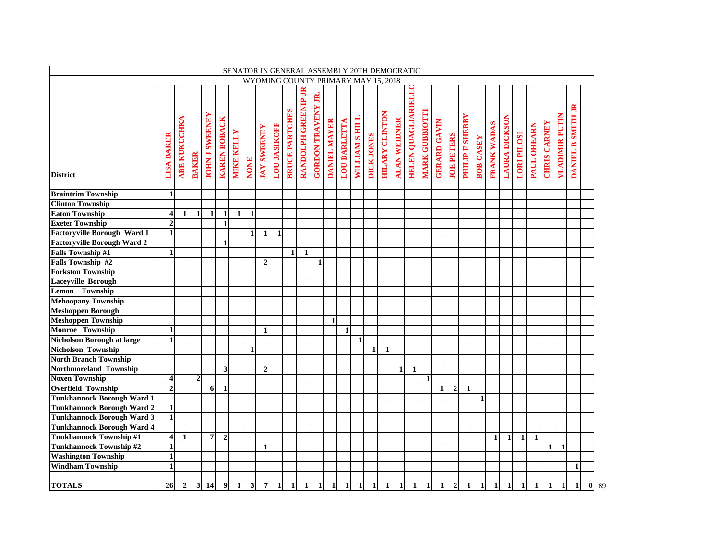|                                    |                         |                     |                |                       |                              |                   |                         |                    |                     |                       |                     |                           |                |                     |                | SENATOR IN GENERAL ASSEMBLY 20TH DEMOCRATIC |                       |                     |                     |                       |                     |                   |                        |                  |                    |                     |                    |              |                     |                       |                                                               |                    |
|------------------------------------|-------------------------|---------------------|----------------|-----------------------|------------------------------|-------------------|-------------------------|--------------------|---------------------|-----------------------|---------------------|---------------------------|----------------|---------------------|----------------|---------------------------------------------|-----------------------|---------------------|---------------------|-----------------------|---------------------|-------------------|------------------------|------------------|--------------------|---------------------|--------------------|--------------|---------------------|-----------------------|---------------------------------------------------------------|--------------------|
|                                    |                         |                     |                |                       |                              |                   |                         |                    |                     |                       |                     |                           |                |                     |                | WYOMING COUNTY PRIMARY MAY 15, 2018         |                       |                     |                     |                       |                     |                   |                        |                  |                    |                     |                    |              |                     |                       |                                                               |                    |
| <b>District</b>                    | <b>LISA BAKER</b>       | <b>ABE KUKUCHKA</b> | <b>BAKER</b>   | <b>JOHN J SWEENEY</b> | <b>KAREN BOBACK</b>          | <b>MIKE KELLY</b> | <b>NONE</b>             | <b>IAY SWEENEY</b> | <b>LOU JASIKOFF</b> | <b>BRUCE PARTCHES</b> | RANDOLPH GREENIP JR | <b>GORDON TRAVENY JR.</b> | DANIEL MAYER   | <b>LOU BARLETTA</b> | WILLIAM S HILL | DICK JONES                                  | <b>HILARY CLINTON</b> | <b>ALAN WEIDNER</b> | HELEN QUAGLIARIELLO | <b>MARK GUBBIOTTI</b> | <b>GERARD GAVIN</b> | <b>JOE PETERS</b> | <b>PHILIP F SHEBBY</b> | <b>BOB CASEY</b> | <b>FRANK WADAS</b> | <b>AURA DICKSON</b> | <b>LORI PILOSI</b> | PAUL OHEARN  | <b>CHRIS CARNEY</b> | <b>VLADIMIR PUTIN</b> | $\mathbb{R}$<br><b>SMITH</b><br>$\mathbf{r}$<br><b>DANIEL</b> |                    |
| <b>Braintrim Township</b>          | $\mathbf{1}$            |                     |                |                       |                              |                   |                         |                    |                     |                       |                     |                           |                |                     |                |                                             |                       |                     |                     |                       |                     |                   |                        |                  |                    |                     |                    |              |                     |                       |                                                               |                    |
| <b>Clinton Township</b>            |                         |                     |                |                       |                              |                   |                         |                    |                     |                       |                     |                           |                |                     |                |                                             |                       |                     |                     |                       |                     |                   |                        |                  |                    |                     |                    |              |                     |                       |                                                               |                    |
| <b>Eaton Township</b>              | $\overline{\mathbf{4}}$ | 1                   | 1              | 1                     |                              |                   | $\mathbf{1}$            |                    |                     |                       |                     |                           |                |                     |                |                                             |                       |                     |                     |                       |                     |                   |                        |                  |                    |                     |                    |              |                     |                       |                                                               |                    |
| <b>Exeter Township</b>             | $\overline{2}$          |                     |                |                       | $\mathbf{1}$<br>$\mathbf{1}$ | 1                 |                         |                    |                     |                       |                     |                           |                |                     |                |                                             |                       |                     |                     |                       |                     |                   |                        |                  |                    |                     |                    |              |                     |                       |                                                               |                    |
| <b>Factoryville Borough Ward 1</b> | $\mathbf{1}$            |                     |                |                       |                              |                   | $\mathbf{1}$            | $\mathbf{1}$       | $\mathbf{1}$        |                       |                     |                           |                |                     |                |                                             |                       |                     |                     |                       |                     |                   |                        |                  |                    |                     |                    |              |                     |                       |                                                               |                    |
| <b>Factoryville Borough Ward 2</b> |                         |                     |                |                       | $\mathbf{1}$                 |                   |                         |                    |                     |                       |                     |                           |                |                     |                |                                             |                       |                     |                     |                       |                     |                   |                        |                  |                    |                     |                    |              |                     |                       |                                                               |                    |
| <b>Falls Township #1</b>           | $\mathbf{1}$            |                     |                |                       |                              |                   |                         |                    |                     | $\mathbf{1}$          | $\mathbf{1}$        |                           |                |                     |                |                                             |                       |                     |                     |                       |                     |                   |                        |                  |                    |                     |                    |              |                     |                       |                                                               |                    |
| Falls Township #2                  |                         |                     |                |                       |                              |                   |                         | $\overline{2}$     |                     |                       |                     | $\mathbf{1}$              |                |                     |                |                                             |                       |                     |                     |                       |                     |                   |                        |                  |                    |                     |                    |              |                     |                       |                                                               |                    |
| <b>Forkston Township</b>           |                         |                     |                |                       |                              |                   |                         |                    |                     |                       |                     |                           |                |                     |                |                                             |                       |                     |                     |                       |                     |                   |                        |                  |                    |                     |                    |              |                     |                       |                                                               |                    |
| <b>Laceyville Borough</b>          |                         |                     |                |                       |                              |                   |                         |                    |                     |                       |                     |                           |                |                     |                |                                             |                       |                     |                     |                       |                     |                   |                        |                  |                    |                     |                    |              |                     |                       |                                                               |                    |
| Lemon Township                     |                         |                     |                |                       |                              |                   |                         |                    |                     |                       |                     |                           |                |                     |                |                                             |                       |                     |                     |                       |                     |                   |                        |                  |                    |                     |                    |              |                     |                       |                                                               |                    |
| <b>Mehoopany Township</b>          |                         |                     |                |                       |                              |                   |                         |                    |                     |                       |                     |                           |                |                     |                |                                             |                       |                     |                     |                       |                     |                   |                        |                  |                    |                     |                    |              |                     |                       |                                                               |                    |
| <b>Meshoppen Borough</b>           |                         |                     |                |                       |                              |                   |                         |                    |                     |                       |                     |                           |                |                     |                |                                             |                       |                     |                     |                       |                     |                   |                        |                  |                    |                     |                    |              |                     |                       |                                                               |                    |
| <b>Meshoppen Township</b>          |                         |                     |                |                       |                              |                   |                         |                    |                     |                       |                     |                           | $\blacksquare$ |                     |                |                                             |                       |                     |                     |                       |                     |                   |                        |                  |                    |                     |                    |              |                     |                       |                                                               |                    |
| Monroe Township                    | $\mathbf{1}$            |                     |                |                       |                              |                   |                         |                    |                     |                       |                     |                           |                |                     |                |                                             |                       |                     |                     |                       |                     |                   |                        |                  |                    |                     |                    |              |                     |                       |                                                               |                    |
| <b>Nicholson Borough at large</b>  | $\mathbf{1}$            |                     |                |                       |                              |                   |                         | $\mathbf{1}$       |                     |                       |                     |                           |                | $\mathbf{1}$        | $\mathbf{1}$   |                                             |                       |                     |                     |                       |                     |                   |                        |                  |                    |                     |                    |              |                     |                       |                                                               |                    |
| Nicholson Township                 |                         |                     |                |                       |                              |                   | $\mathbf{1}$            |                    |                     |                       |                     |                           |                |                     |                | $\mathbf{1}$                                | $\mathbf{1}$          |                     |                     |                       |                     |                   |                        |                  |                    |                     |                    |              |                     |                       |                                                               |                    |
| <b>North Branch Township</b>       |                         |                     |                |                       |                              |                   |                         |                    |                     |                       |                     |                           |                |                     |                |                                             |                       |                     |                     |                       |                     |                   |                        |                  |                    |                     |                    |              |                     |                       |                                                               |                    |
| Northmoreland Township             |                         |                     |                |                       | 3                            |                   |                         | $\overline{2}$     |                     |                       |                     |                           |                |                     |                |                                             |                       |                     | $\mathbf{1}$        |                       |                     |                   |                        |                  |                    |                     |                    |              |                     |                       |                                                               |                    |
| <b>Noxen Township</b>              | $\overline{\mathbf{4}}$ |                     | $\overline{2}$ |                       |                              |                   |                         |                    |                     |                       |                     |                           |                |                     |                |                                             |                       | 1                   |                     |                       |                     |                   |                        |                  |                    |                     |                    |              |                     |                       |                                                               |                    |
| <b>Overfield Township</b>          | $\overline{2}$          |                     |                | 6                     | $\mathbf{1}$                 |                   |                         |                    |                     |                       |                     |                           |                |                     |                |                                             |                       |                     |                     |                       | $\mathbf{1}$        | $\overline{2}$    | $\mathbf{1}$           |                  |                    |                     |                    |              |                     |                       |                                                               |                    |
| <b>Tunkhannock Borough Ward 1</b>  |                         |                     |                |                       |                              |                   |                         |                    |                     |                       |                     |                           |                |                     |                |                                             |                       |                     |                     |                       |                     |                   |                        | $\mathbf{1}$     |                    |                     |                    |              |                     |                       |                                                               |                    |
| <b>Tunkhannock Borough Ward 2</b>  | $\mathbf{1}$            |                     |                |                       |                              |                   |                         |                    |                     |                       |                     |                           |                |                     |                |                                             |                       |                     |                     |                       |                     |                   |                        |                  |                    |                     |                    |              |                     |                       |                                                               |                    |
| <b>Tunkhannock Borough Ward 3</b>  | $\mathbf{1}$            |                     |                |                       |                              |                   |                         |                    |                     |                       |                     |                           |                |                     |                |                                             |                       |                     |                     |                       |                     |                   |                        |                  |                    |                     |                    |              |                     |                       |                                                               |                    |
| <b>Tunkhannock Borough Ward 4</b>  |                         |                     |                |                       |                              |                   |                         |                    |                     |                       |                     |                           |                |                     |                |                                             |                       |                     |                     |                       |                     |                   |                        |                  |                    |                     |                    |              |                     |                       |                                                               |                    |
| <b>Tunkhannock Township #1</b>     | $\overline{\mathbf{4}}$ | $\mathbf{1}$        |                | $\overline{7}$        | $\overline{2}$               |                   |                         |                    |                     |                       |                     |                           |                |                     |                |                                             |                       |                     |                     |                       |                     |                   |                        |                  | $\mathbf{1}$       | $\mathbf{1}$        | $\mathbf{1}$       | $\mathbf{1}$ |                     |                       |                                                               |                    |
| <b>Tunkhannock Township #2</b>     | $\mathbf{1}$            |                     |                |                       |                              |                   |                         | $\mathbf{1}$       |                     |                       |                     |                           |                |                     |                |                                             |                       |                     |                     |                       |                     |                   |                        |                  |                    |                     |                    |              | $\mathbf{1}$        | $\mathbf{1}$          |                                                               |                    |
| <b>Washington Township</b>         | $\mathbf{1}$            |                     |                |                       |                              |                   |                         |                    |                     |                       |                     |                           |                |                     |                |                                             |                       |                     |                     |                       |                     |                   |                        |                  |                    |                     |                    |              |                     |                       |                                                               |                    |
| <b>Windham Township</b>            | $\mathbf{1}$            |                     |                |                       |                              |                   |                         |                    |                     |                       |                     |                           |                |                     |                |                                             |                       |                     |                     |                       |                     |                   |                        |                  |                    |                     |                    |              |                     |                       | 1                                                             |                    |
|                                    |                         |                     |                |                       |                              |                   |                         |                    |                     |                       |                     |                           |                |                     |                |                                             |                       |                     |                     |                       |                     |                   |                        |                  |                    |                     |                    |              |                     |                       |                                                               |                    |
| <b>TOTALS</b>                      | 26                      | $\overline{2}$      | $\mathbf{3}$   | 14                    | 9                            | $\mathbf{1}$      | $\overline{\mathbf{3}}$ | $\boldsymbol{7}$   |                     | $\mathbf{1}$          | $\mathbf{1}$        | 1                         | 1              | 1                   |                | $\mathbf{1}$                                | 1                     | 1                   | $\mathbf{1}$        |                       |                     | $\boldsymbol{2}$  | 1                      | $\mathbf{1}$     | $\mathbf{1}$       |                     | $\mathbf{1}$       | 1            | 1                   | $\mathbf{1}$          | $\mathbf{1}$                                                  | $\mathbf{0}$<br>89 |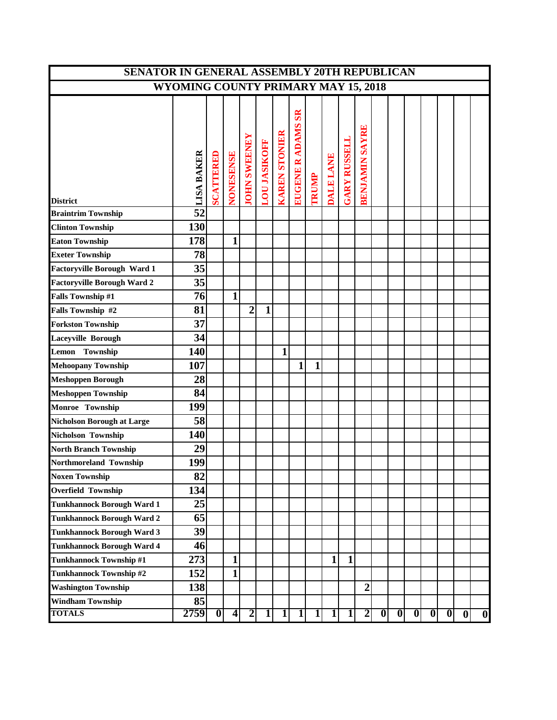| SENATOR IN GENERAL ASSEMBLY 20TH REPUBLICAN |                                            |           |                |                         |                     |                      |                                    |                |                         |                     |                         |                         |                         |                         |                         |          |                  |                  |
|---------------------------------------------|--------------------------------------------|-----------|----------------|-------------------------|---------------------|----------------------|------------------------------------|----------------|-------------------------|---------------------|-------------------------|-------------------------|-------------------------|-------------------------|-------------------------|----------|------------------|------------------|
|                                             | <b>WYOMING COUNTY PRIMARY MAY 15, 2018</b> |           |                |                         |                     |                      |                                    |                |                         |                     |                         |                         |                         |                         |                         |          |                  |                  |
| <b>District</b>                             | LISA BAKER                                 | SCATTERED | NONESENSE      | <b>JOHN SWEENEY</b>     | <b>LOU JASIKOFF</b> | <b>KAREN STONIER</b> | <b>SR</b><br><b>EUGENE R ADAMS</b> | <b>TRUMP</b>   | DALE LANE               | <b>GARY RUSSELL</b> | <b>BENJAMIN SAYRE</b>   |                         |                         |                         |                         |          |                  |                  |
| <b>Braintrim Township</b>                   | $\overline{52}$                            |           |                |                         |                     |                      |                                    |                |                         |                     |                         |                         |                         |                         |                         |          |                  |                  |
| <b>Clinton Township</b>                     | 130                                        |           |                |                         |                     |                      |                                    |                |                         |                     |                         |                         |                         |                         |                         |          |                  |                  |
| <b>Eaton Township</b>                       | 178                                        |           | 1              |                         |                     |                      |                                    |                |                         |                     |                         |                         |                         |                         |                         |          |                  |                  |
| <b>Exeter Township</b>                      | 78                                         |           |                |                         |                     |                      |                                    |                |                         |                     |                         |                         |                         |                         |                         |          |                  |                  |
| <b>Factoryville Borough Ward 1</b>          | 35                                         |           |                |                         |                     |                      |                                    |                |                         |                     |                         |                         |                         |                         |                         |          |                  |                  |
| Factoryville Borough Ward 2                 | 35                                         |           |                |                         |                     |                      |                                    |                |                         |                     |                         |                         |                         |                         |                         |          |                  |                  |
| <b>Falls Township #1</b>                    | 76                                         |           | 1              |                         |                     |                      |                                    |                |                         |                     |                         |                         |                         |                         |                         |          |                  |                  |
| Falls Township #2                           | 81                                         |           |                | $\overline{2}$          | $\mathbf{1}$        |                      |                                    |                |                         |                     |                         |                         |                         |                         |                         |          |                  |                  |
| <b>Forkston Township</b>                    | 37                                         |           |                |                         |                     |                      |                                    |                |                         |                     |                         |                         |                         |                         |                         |          |                  |                  |
| <b>Laceyville Borough</b>                   | 34                                         |           |                |                         |                     |                      |                                    |                |                         |                     |                         |                         |                         |                         |                         |          |                  |                  |
| Township<br>Lemon                           | 140                                        |           |                |                         |                     | 1                    |                                    |                |                         |                     |                         |                         |                         |                         |                         |          |                  |                  |
| <b>Mehoopany Township</b>                   | 107                                        |           |                |                         |                     |                      | $\mathbf{1}$                       | 1              |                         |                     |                         |                         |                         |                         |                         |          |                  |                  |
| <b>Meshoppen Borough</b>                    | 28                                         |           |                |                         |                     |                      |                                    |                |                         |                     |                         |                         |                         |                         |                         |          |                  |                  |
| <b>Meshoppen Township</b>                   | 84                                         |           |                |                         |                     |                      |                                    |                |                         |                     |                         |                         |                         |                         |                         |          |                  |                  |
| Monroe Township                             | 199                                        |           |                |                         |                     |                      |                                    |                |                         |                     |                         |                         |                         |                         |                         |          |                  |                  |
| <b>Nicholson Borough at Large</b>           | 58                                         |           |                |                         |                     |                      |                                    |                |                         |                     |                         |                         |                         |                         |                         |          |                  |                  |
| Nicholson Township                          | 140                                        |           |                |                         |                     |                      |                                    |                |                         |                     |                         |                         |                         |                         |                         |          |                  |                  |
| <b>North Branch Township</b>                | 29                                         |           |                |                         |                     |                      |                                    |                |                         |                     |                         |                         |                         |                         |                         |          |                  |                  |
| Northmoreland Township                      | 199                                        |           |                |                         |                     |                      |                                    |                |                         |                     |                         |                         |                         |                         |                         |          |                  |                  |
| <b>Noxen Township</b>                       | 82                                         |           |                |                         |                     |                      |                                    |                |                         |                     |                         |                         |                         |                         |                         |          |                  |                  |
| <b>Overfield Township</b>                   | 134                                        |           |                |                         |                     |                      |                                    |                |                         |                     |                         |                         |                         |                         |                         |          |                  |                  |
| <b>Tunkhannock Borough Ward 1</b>           | 25                                         |           |                |                         |                     |                      |                                    |                |                         |                     |                         |                         |                         |                         |                         |          |                  |                  |
| <b>Tunkhannock Borough Ward 2</b>           | 65                                         |           |                |                         |                     |                      |                                    |                |                         |                     |                         |                         |                         |                         |                         |          |                  |                  |
| <b>Tunkhannock Borough Ward 3</b>           | 39                                         |           |                |                         |                     |                      |                                    |                |                         |                     |                         |                         |                         |                         |                         |          |                  |                  |
| <b>Tunkhannock Borough Ward 4</b>           | 46                                         |           |                |                         |                     |                      |                                    |                |                         |                     |                         |                         |                         |                         |                         |          |                  |                  |
| Tunkhannock Township #1                     | 273                                        |           | 1              |                         |                     |                      |                                    |                | $\mathbf{1}$            | 1                   |                         |                         |                         |                         |                         |          |                  |                  |
| <b>Tunkhannock Township #2</b>              | 152                                        |           | 1              |                         |                     |                      |                                    |                |                         |                     |                         |                         |                         |                         |                         |          |                  |                  |
| <b>Washington Township</b>                  | 138                                        |           |                |                         |                     |                      |                                    |                |                         |                     | $\overline{2}$          |                         |                         |                         |                         |          |                  |                  |
| <b>Windham Township</b>                     | 85                                         |           |                |                         |                     |                      |                                    |                |                         |                     |                         |                         |                         |                         |                         |          |                  |                  |
| <b>TOTALS</b>                               | 2759                                       | $\bf{0}$  | $\overline{4}$ | $\overline{\mathbf{2}}$ | $\overline{1}$      | $1\vert$             | $\overline{1}$                     | $\overline{1}$ | $\overline{\mathbf{1}}$ | 1                   | $\overline{\mathbf{2}}$ | $\overline{\mathbf{0}}$ | $\overline{\mathbf{0}}$ | $\overline{\mathbf{0}}$ | $\overline{\mathbf{0}}$ | $\bf{0}$ | $\boldsymbol{0}$ | $\boldsymbol{0}$ |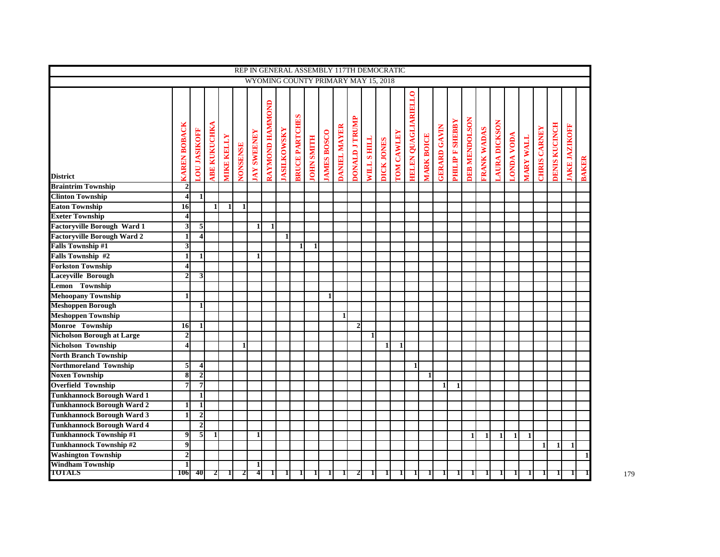|                                    |                         |                         |                    |                   |                 |                   |                        |                   |                       |                   |                    | REP IN GENERAL ASSEMBLY 117TH DEMOCRATIC |                       |                   |              |                   |                            |                   |                    |                       |                      |                   |              |                   |                  |                     |                      |                     |              |
|------------------------------------|-------------------------|-------------------------|--------------------|-------------------|-----------------|-------------------|------------------------|-------------------|-----------------------|-------------------|--------------------|------------------------------------------|-----------------------|-------------------|--------------|-------------------|----------------------------|-------------------|--------------------|-----------------------|----------------------|-------------------|--------------|-------------------|------------------|---------------------|----------------------|---------------------|--------------|
|                                    |                         |                         |                    |                   |                 |                   |                        |                   |                       |                   |                    | WYOMING COUNTY PRIMARY MAY 15, 2018      |                       |                   |              |                   |                            |                   |                    |                       |                      |                   |              |                   |                  |                     |                      |                     |              |
|                                    |                         |                         |                    |                   |                 |                   |                        |                   |                       |                   |                    |                                          |                       |                   |              |                   |                            |                   |                    |                       |                      |                   |              |                   |                  |                     |                      |                     |              |
|                                    |                         |                         |                    |                   |                 |                   | <b>AAYMOND HAMMOND</b> |                   |                       |                   |                    |                                          |                       |                   |              |                   | <b>TELEN QUAGLIARIELLO</b> |                   |                    |                       |                      |                   |              |                   |                  |                     |                      |                     |              |
|                                    |                         |                         |                    |                   |                 |                   |                        |                   |                       |                   |                    |                                          |                       |                   |              |                   |                            |                   |                    |                       |                      |                   |              |                   |                  |                     |                      |                     |              |
|                                    | <b>CAREN BOBACK</b>     | <b>LOU JASIKOFF</b>     | <b>ABE KUKUCHK</b> | <b>MIKE KELLY</b> | <b>JONSENSE</b> | <b>AY SWEENEY</b> |                        | <b>ASILKOWSKY</b> | <b>SRUCE PARTCHES</b> | <b>ISLUMSNITH</b> | <b>JAMES BOSCO</b> | DANIEL MAYER                             | <b>DONALD J TRUMP</b> | <b>WILLS HILL</b> | DICK JONES   | <b>FOM CAWLEY</b> |                            | <b>MARK BOICE</b> | <b>GRARD GAVIN</b> | <b>ABBEN AN ALLIH</b> | <b>DEB MENDOLSON</b> | <b>RANK WADAS</b> | AURA DICKSON | <b>ACOMPADYOD</b> | <b>MARY WALL</b> | <b>CHRIS CARNEY</b> | <b>DENIS KUCINCH</b> | <b>AKE JAZIKOFF</b> |              |
| <b>District</b>                    |                         |                         |                    |                   |                 |                   |                        |                   |                       |                   |                    |                                          |                       |                   |              |                   |                            |                   |                    |                       |                      |                   |              |                   |                  |                     |                      |                     | <b>BAKER</b> |
| <b>Braintrim Township</b>          | $\overline{2}$          |                         |                    |                   |                 |                   |                        |                   |                       |                   |                    |                                          |                       |                   |              |                   |                            |                   |                    |                       |                      |                   |              |                   |                  |                     |                      |                     |              |
| <b>Clinton Township</b>            | $\overline{\mathbf{4}}$ | 1                       |                    |                   |                 |                   |                        |                   |                       |                   |                    |                                          |                       |                   |              |                   |                            |                   |                    |                       |                      |                   |              |                   |                  |                     |                      |                     |              |
| <b>Eaton Township</b>              | 16                      |                         | 1                  |                   |                 |                   |                        |                   |                       |                   |                    |                                          |                       |                   |              |                   |                            |                   |                    |                       |                      |                   |              |                   |                  |                     |                      |                     |              |
| <b>Exeter Township</b>             | $\overline{\mathbf{4}}$ |                         |                    |                   |                 |                   |                        |                   |                       |                   |                    |                                          |                       |                   |              |                   |                            |                   |                    |                       |                      |                   |              |                   |                  |                     |                      |                     |              |
| <b>Factoryville Borough Ward 1</b> | 3                       | 5                       |                    |                   |                 | $\mathbf{1}$      | $\mathbf{1}$           |                   |                       |                   |                    |                                          |                       |                   |              |                   |                            |                   |                    |                       |                      |                   |              |                   |                  |                     |                      |                     |              |
| <b>Factoryville Borough Ward 2</b> | 1                       | $\overline{\mathbf{4}}$ |                    |                   |                 |                   |                        | $\mathbf{1}$      |                       |                   |                    |                                          |                       |                   |              |                   |                            |                   |                    |                       |                      |                   |              |                   |                  |                     |                      |                     |              |
| <b>Falls Township #1</b>           | $\overline{\mathbf{3}}$ |                         |                    |                   |                 |                   |                        |                   |                       | $\blacksquare$    |                    |                                          |                       |                   |              |                   |                            |                   |                    |                       |                      |                   |              |                   |                  |                     |                      |                     |              |
| Falls Township #2                  | 1                       | 1                       |                    |                   |                 | $\mathbf{1}$      |                        |                   |                       |                   |                    |                                          |                       |                   |              |                   |                            |                   |                    |                       |                      |                   |              |                   |                  |                     |                      |                     |              |
| <b>Forkston Township</b>           | $\overline{\mathbf{4}}$ |                         |                    |                   |                 |                   |                        |                   |                       |                   |                    |                                          |                       |                   |              |                   |                            |                   |                    |                       |                      |                   |              |                   |                  |                     |                      |                     |              |
| <b>Laceyville Borough</b>          | $\overline{2}$          | 3                       |                    |                   |                 |                   |                        |                   |                       |                   |                    |                                          |                       |                   |              |                   |                            |                   |                    |                       |                      |                   |              |                   |                  |                     |                      |                     |              |
| Lemon Township                     |                         |                         |                    |                   |                 |                   |                        |                   |                       |                   |                    |                                          |                       |                   |              |                   |                            |                   |                    |                       |                      |                   |              |                   |                  |                     |                      |                     |              |
| <b>Mehoopany Township</b>          | $\mathbf{1}$            |                         |                    |                   |                 |                   |                        |                   |                       |                   | $\mathbf{1}$       |                                          |                       |                   |              |                   |                            |                   |                    |                       |                      |                   |              |                   |                  |                     |                      |                     |              |
| <b>Meshoppen Borough</b>           |                         | $\mathbf{1}$            |                    |                   |                 |                   |                        |                   |                       |                   |                    |                                          |                       |                   |              |                   |                            |                   |                    |                       |                      |                   |              |                   |                  |                     |                      |                     |              |
| <b>Meshoppen Township</b>          |                         |                         |                    |                   |                 |                   |                        |                   |                       |                   |                    | 1                                        |                       |                   |              |                   |                            |                   |                    |                       |                      |                   |              |                   |                  |                     |                      |                     |              |
| Monroe Township                    | 16                      | 1                       |                    |                   |                 |                   |                        |                   |                       |                   |                    |                                          | $\overline{2}$        |                   |              |                   |                            |                   |                    |                       |                      |                   |              |                   |                  |                     |                      |                     |              |
| <b>Nicholson Borough at Large</b>  | $\mathbf{2}$            |                         |                    |                   |                 |                   |                        |                   |                       |                   |                    |                                          |                       | $\mathbf{1}$      |              |                   |                            |                   |                    |                       |                      |                   |              |                   |                  |                     |                      |                     |              |
|                                    | 4                       |                         |                    |                   |                 |                   |                        |                   |                       |                   |                    |                                          |                       |                   |              |                   |                            |                   |                    |                       |                      |                   |              |                   |                  |                     |                      |                     |              |
| <b>Nicholson Township</b>          |                         |                         |                    |                   |                 |                   |                        |                   |                       |                   |                    |                                          |                       |                   | $\mathbf{1}$ | $\mathbf{1}$      |                            |                   |                    |                       |                      |                   |              |                   |                  |                     |                      |                     |              |
| <b>North Branch Township</b>       |                         |                         |                    |                   |                 |                   |                        |                   |                       |                   |                    |                                          |                       |                   |              |                   |                            |                   |                    |                       |                      |                   |              |                   |                  |                     |                      |                     |              |
| <b>Northmoreland Township</b>      | 5                       | $\overline{\mathbf{4}}$ |                    |                   |                 |                   |                        |                   |                       |                   |                    |                                          |                       |                   |              |                   | $\blacksquare$             |                   |                    |                       |                      |                   |              |                   |                  |                     |                      |                     |              |
| <b>Noxen Township</b>              | $\bf{8}$                | $\mathbf 2$             |                    |                   |                 |                   |                        |                   |                       |                   |                    |                                          |                       |                   |              |                   |                            | $\mathbf{1}$      |                    |                       |                      |                   |              |                   |                  |                     |                      |                     |              |
| <b>Overfield Township</b>          | 7                       | $\overline{\mathbf{z}}$ |                    |                   |                 |                   |                        |                   |                       |                   |                    |                                          |                       |                   |              |                   |                            |                   | $\mathbf{1}$       | $\mathbf{1}$          |                      |                   |              |                   |                  |                     |                      |                     |              |
| <b>Tunkhannock Borough Ward 1</b>  |                         | $\mathbf{1}$            |                    |                   |                 |                   |                        |                   |                       |                   |                    |                                          |                       |                   |              |                   |                            |                   |                    |                       |                      |                   |              |                   |                  |                     |                      |                     |              |
| <b>Tunkhannock Borough Ward 2</b>  | 1                       | $\mathbf{1}$            |                    |                   |                 |                   |                        |                   |                       |                   |                    |                                          |                       |                   |              |                   |                            |                   |                    |                       |                      |                   |              |                   |                  |                     |                      |                     |              |
| <b>Tunkhannock Borough Ward 3</b>  | 1                       | $\boldsymbol{2}$        |                    |                   |                 |                   |                        |                   |                       |                   |                    |                                          |                       |                   |              |                   |                            |                   |                    |                       |                      |                   |              |                   |                  |                     |                      |                     |              |
| <b>Tunkhannock Borough Ward 4</b>  |                         | $\overline{\mathbf{c}}$ |                    |                   |                 |                   |                        |                   |                       |                   |                    |                                          |                       |                   |              |                   |                            |                   |                    |                       |                      |                   |              |                   |                  |                     |                      |                     |              |
| <b>Tunkhannock Township #1</b>     | 9                       | 5                       | $\blacksquare$     |                   |                 | $\mathbf{1}$      |                        |                   |                       |                   |                    |                                          |                       |                   |              |                   |                            |                   |                    |                       | $\blacksquare$       | $\mathbf{1}$      | $\mathbf{1}$ | $\mathbf{1}$      | $\mathbf{1}$     |                     |                      |                     |              |
| <b>Tunkhannock Township #2</b>     | $\overline{9}$          |                         |                    |                   |                 |                   |                        |                   |                       |                   |                    |                                          |                       |                   |              |                   |                            |                   |                    |                       |                      |                   |              |                   |                  | $\mathbf{1}$        | $\mathbf{1}$         | $\mathbf{1}$        |              |
| <b>Washington Township</b>         | $\overline{2}$          |                         |                    |                   |                 |                   |                        |                   |                       |                   |                    |                                          |                       |                   |              |                   |                            |                   |                    |                       |                      |                   |              |                   |                  |                     |                      |                     | $\mathbf{1}$ |
| <b>Windham Township</b>            | $\mathbf{1}$            |                         |                    |                   |                 | 11                |                        |                   |                       |                   |                    |                                          |                       |                   |              |                   |                            |                   |                    |                       |                      |                   |              |                   |                  |                     |                      |                     |              |
| <b>TOTALS</b>                      | <b>106</b>              | 40                      | 2                  |                   |                 | 4                 |                        |                   |                       |                   |                    |                                          |                       |                   |              |                   |                            |                   |                    |                       |                      |                   |              |                   |                  |                     |                      |                     |              |

179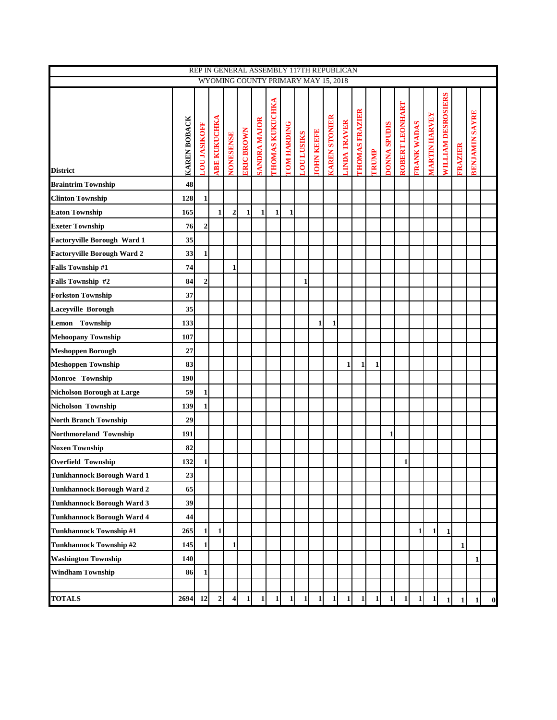|                                    |                     |                     |                     |                  |                   |                     | REP IN GENERAL ASSEMBLY 117TH REPUBLICAN |                    |                   |                   |                      |                     |                       |              |                     |                 |                    |                      |                    |                |                       |                  |
|------------------------------------|---------------------|---------------------|---------------------|------------------|-------------------|---------------------|------------------------------------------|--------------------|-------------------|-------------------|----------------------|---------------------|-----------------------|--------------|---------------------|-----------------|--------------------|----------------------|--------------------|----------------|-----------------------|------------------|
|                                    |                     |                     |                     |                  |                   |                     | WYOMING COUNTY PRIMARY MAY 15, 2018      |                    |                   |                   |                      |                     |                       |              |                     |                 |                    |                      |                    |                |                       |                  |
| <b>District</b>                    | <b>KAREN BOBACK</b> | <b>LOU JASIKOFF</b> | <b>ABE KUKUCHKA</b> | <b>NONESENSE</b> | <b>ERIC BROWN</b> | <b>SANDRA MAJOR</b> | <b>THOMAS KUKUCHKA</b>                   | <b>TOM HARDING</b> | <b>LOU LUSIKS</b> | <b>IOHN KEEFE</b> | <b>KAREN STONIER</b> | <b>LINDA TRAVER</b> | <b>THOMAS FRAZIER</b> | <b>TRUMP</b> | <b>DONNA SPUDIS</b> | ROBERT LEONHART | <b>FRANK WADAS</b> | <b>MARTIN HARVEY</b> | WILLIAM DESROSIERS | <b>FRAZIER</b> | <b>BENJAMIN SAYRE</b> |                  |
| <b>Braintrim Township</b>          | 48                  |                     |                     |                  |                   |                     |                                          |                    |                   |                   |                      |                     |                       |              |                     |                 |                    |                      |                    |                |                       |                  |
| <b>Clinton Township</b>            | 128                 | 1                   |                     |                  |                   |                     |                                          |                    |                   |                   |                      |                     |                       |              |                     |                 |                    |                      |                    |                |                       |                  |
| <b>Eaton Township</b>              | 165                 |                     | $\mathbf{1}$        | $\mathbf{2}$     | $\mathbf{1}$      | 1                   | 1                                        | 1                  |                   |                   |                      |                     |                       |              |                     |                 |                    |                      |                    |                |                       |                  |
| <b>Exeter Township</b>             | 76                  | $\mathbf{2}$        |                     |                  |                   |                     |                                          |                    |                   |                   |                      |                     |                       |              |                     |                 |                    |                      |                    |                |                       |                  |
| Factoryville Borough Ward 1        | 35                  |                     |                     |                  |                   |                     |                                          |                    |                   |                   |                      |                     |                       |              |                     |                 |                    |                      |                    |                |                       |                  |
| <b>Factoryville Borough Ward 2</b> | 33                  | 1                   |                     |                  |                   |                     |                                          |                    |                   |                   |                      |                     |                       |              |                     |                 |                    |                      |                    |                |                       |                  |
| <b>Falls Township #1</b>           | 74                  |                     |                     | 1                |                   |                     |                                          |                    |                   |                   |                      |                     |                       |              |                     |                 |                    |                      |                    |                |                       |                  |
| Falls Township #2                  | 84                  | $\mathbf{2}$        |                     |                  |                   |                     |                                          |                    | $\mathbf{1}$      |                   |                      |                     |                       |              |                     |                 |                    |                      |                    |                |                       |                  |
| <b>Forkston Township</b>           | 37                  |                     |                     |                  |                   |                     |                                          |                    |                   |                   |                      |                     |                       |              |                     |                 |                    |                      |                    |                |                       |                  |
| <b>Laceyville Borough</b>          | 35                  |                     |                     |                  |                   |                     |                                          |                    |                   |                   |                      |                     |                       |              |                     |                 |                    |                      |                    |                |                       |                  |
| Lemon Township                     | 133                 |                     |                     |                  |                   |                     |                                          |                    |                   | 1                 | 1                    |                     |                       |              |                     |                 |                    |                      |                    |                |                       |                  |
| <b>Mehoopany Township</b>          | 107                 |                     |                     |                  |                   |                     |                                          |                    |                   |                   |                      |                     |                       |              |                     |                 |                    |                      |                    |                |                       |                  |
| <b>Meshoppen Borough</b>           | 27                  |                     |                     |                  |                   |                     |                                          |                    |                   |                   |                      |                     |                       |              |                     |                 |                    |                      |                    |                |                       |                  |
| <b>Meshoppen Township</b>          | 83                  |                     |                     |                  |                   |                     |                                          |                    |                   |                   |                      | $\mathbf{1}$        | $\mathbf{1}$          | $\mathbf{1}$ |                     |                 |                    |                      |                    |                |                       |                  |
| Monroe Township                    | 190                 |                     |                     |                  |                   |                     |                                          |                    |                   |                   |                      |                     |                       |              |                     |                 |                    |                      |                    |                |                       |                  |
| Nicholson Borough at Large         | 59                  | 1                   |                     |                  |                   |                     |                                          |                    |                   |                   |                      |                     |                       |              |                     |                 |                    |                      |                    |                |                       |                  |
| Nicholson Township                 | 139                 | $\mathbf{1}$        |                     |                  |                   |                     |                                          |                    |                   |                   |                      |                     |                       |              |                     |                 |                    |                      |                    |                |                       |                  |
| <b>North Branch Township</b>       | 29                  |                     |                     |                  |                   |                     |                                          |                    |                   |                   |                      |                     |                       |              |                     |                 |                    |                      |                    |                |                       |                  |
| Northmoreland Township             | 191                 |                     |                     |                  |                   |                     |                                          |                    |                   |                   |                      |                     |                       |              | 1                   |                 |                    |                      |                    |                |                       |                  |
| <b>Noxen Township</b>              | 82                  |                     |                     |                  |                   |                     |                                          |                    |                   |                   |                      |                     |                       |              |                     |                 |                    |                      |                    |                |                       |                  |
| <b>Overfield Township</b>          | 132                 | 1                   |                     |                  |                   |                     |                                          |                    |                   |                   |                      |                     |                       |              |                     | $\mathbf{1}$    |                    |                      |                    |                |                       |                  |
| <b>Tunkhannock Borough Ward 1</b>  | 23                  |                     |                     |                  |                   |                     |                                          |                    |                   |                   |                      |                     |                       |              |                     |                 |                    |                      |                    |                |                       |                  |
| <b>Tunkhannock Borough Ward 2</b>  | 65                  |                     |                     |                  |                   |                     |                                          |                    |                   |                   |                      |                     |                       |              |                     |                 |                    |                      |                    |                |                       |                  |
| <b>Tunkhannock Borough Ward 3</b>  | 39                  |                     |                     |                  |                   |                     |                                          |                    |                   |                   |                      |                     |                       |              |                     |                 |                    |                      |                    |                |                       |                  |
| <b>Tunkhannock Borough Ward 4</b>  | 44                  |                     |                     |                  |                   |                     |                                          |                    |                   |                   |                      |                     |                       |              |                     |                 |                    |                      |                    |                |                       |                  |
| Tunkhannock Township #1            | 265                 | 1                   | $\mathbf{1}$        |                  |                   |                     |                                          |                    |                   |                   |                      |                     |                       |              |                     |                 | $\mathbf{1}$       | $\mathbf{1}$         | $\mathbf{1}$       |                |                       |                  |
| Tunkhannock Township #2            | 145                 | 1                   |                     | $\mathbf{1}$     |                   |                     |                                          |                    |                   |                   |                      |                     |                       |              |                     |                 |                    |                      |                    | $\mathbf{1}$   |                       |                  |
| <b>Washington Township</b>         | 140                 |                     |                     |                  |                   |                     |                                          |                    |                   |                   |                      |                     |                       |              |                     |                 |                    |                      |                    |                | $\mathbf{1}$          |                  |
| <b>Windham Township</b>            | 86                  | 1                   |                     |                  |                   |                     |                                          |                    |                   |                   |                      |                     |                       |              |                     |                 |                    |                      |                    |                |                       |                  |
| <b>TOTALS</b>                      | 2694                | 12                  | $\overline{2}$      | $\vert$          | $\mathbf{1}$      | $1\vert$            | $1\vert$                                 | $1\vert$           | $\mathbf{1}$      | $1\vert$          | $1\vert$             | $\mathbf{1}$        | 1                     |              | $1 \mid 1$          | $\mathbf{1}$    | 1                  | 1                    | $1\vert$           | $\mathbf{1}$   | $\mathbf{1}$          | $\boldsymbol{0}$ |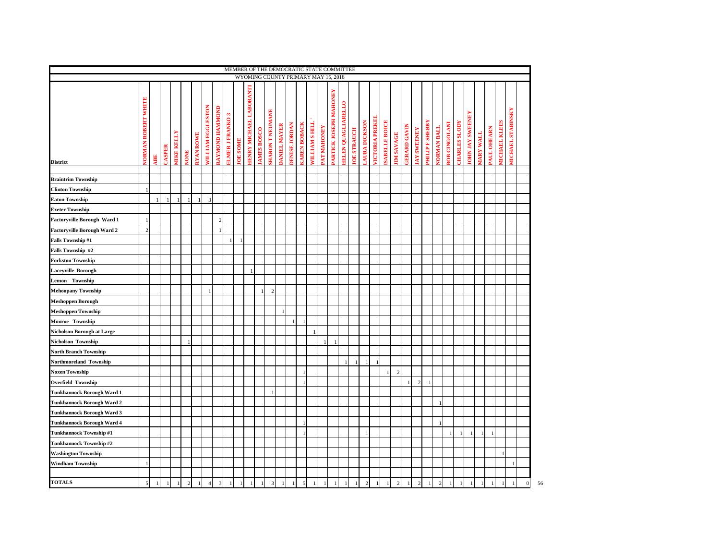| MEMBER OF THE DEMOCRATIC STATE COMMITTEE<br>WYOMING COUNTY PRIMARY MAY 15, 2018 |                               |    |               |                   |                                |                  |                   |                 |                         |                |                                |                   |                        |                    |                      |                     |                      |                   |                                        |                           |                   |              |                       |                      |                  |                    |                   |                       |                    |                      |                     |                |                 |            |                      |                          |              |    |
|---------------------------------------------------------------------------------|-------------------------------|----|---------------|-------------------|--------------------------------|------------------|-------------------|-----------------|-------------------------|----------------|--------------------------------|-------------------|------------------------|--------------------|----------------------|---------------------|----------------------|-------------------|----------------------------------------|---------------------------|-------------------|--------------|-----------------------|----------------------|------------------|--------------------|-------------------|-----------------------|--------------------|----------------------|---------------------|----------------|-----------------|------------|----------------------|--------------------------|--------------|----|
|                                                                                 |                               |    |               |                   |                                |                  |                   |                 |                         |                |                                |                   |                        |                    |                      |                     |                      |                   |                                        |                           |                   |              |                       |                      |                  |                    |                   |                       |                    |                      |                     |                |                 |            |                      |                          |              |    |
| <b>District</b>                                                                 | WHITE<br><b>JORMAN ROBERT</b> | SE | <b>CASPER</b> | <b>TIKE KELLY</b> | <b>TNON</b>                    | <b>RYAN ROWE</b> | WILLIAM EGGLESTON | RAYMOND HAMMOND | <b>ELMER J FRANKO 3</b> | <b>OE SOME</b> | <b>IENRY MICHAEL LABORANTI</b> | <b>AMES BOSCO</b> | <b>HARON T NEUMANE</b> | <b>ANIEL MAYER</b> | <b>DENISE JORDAN</b> | <b>CAREN BOBACK</b> | <b>VILLIAM SHILL</b> | <b>AT MAHONEY</b> | <b>MAHONEY</b><br><b>ARTICK JOSEPH</b> | <b>IELEN QUAGLIARELLO</b> | <b>OE STRAUCH</b> | AURA DICKSON | <b>TCTORIA PREKEI</b> | <b>SABELLE BOICE</b> | <b>IM SAVAGE</b> | <b>ERARD GAVIN</b> | <b>AY SWEENEY</b> | <b>HILIP F SHEBBY</b> | <b>JORMAN BALL</b> | <b>30B CINGOLANI</b> | <b>HARLES SLODY</b> | OHN JAY SWEENE | <b>TIVALITY</b> | AUL OHEARN | <b>IICHAEL KLEES</b> | <b>IICHAEL STABINSKY</b> |              |    |
| <b>Braintrim Township</b>                                                       |                               |    |               |                   |                                |                  |                   |                 |                         |                |                                |                   |                        |                    |                      |                     |                      |                   |                                        |                           |                   |              |                       |                      |                  |                    |                   |                       |                    |                      |                     |                |                 |            |                      |                          |              |    |
| <b>Clinton Township</b>                                                         | $\blacksquare$                |    |               |                   |                                |                  |                   |                 |                         |                |                                |                   |                        |                    |                      |                     |                      |                   |                                        |                           |                   |              |                       |                      |                  |                    |                   |                       |                    |                      |                     |                |                 |            |                      |                          |              |    |
| <b>Eaton Township</b>                                                           |                               |    |               |                   | $\mathbf{1}$<br>$\overline{1}$ |                  | $\mathbf{3}$      |                 |                         |                |                                |                   |                        |                    |                      |                     |                      |                   |                                        |                           |                   |              |                       |                      |                  |                    |                   |                       |                    |                      |                     |                |                 |            |                      |                          |              |    |
| <b>Exeter Township</b>                                                          |                               |    |               |                   |                                |                  |                   |                 |                         |                |                                |                   |                        |                    |                      |                     |                      |                   |                                        |                           |                   |              |                       |                      |                  |                    |                   |                       |                    |                      |                     |                |                 |            |                      |                          |              |    |
| Factoryville Borough Ward 1                                                     | -1                            |    |               |                   |                                |                  |                   | $\mathcal{L}$   |                         |                |                                |                   |                        |                    |                      |                     |                      |                   |                                        |                           |                   |              |                       |                      |                  |                    |                   |                       |                    |                      |                     |                |                 |            |                      |                          |              |    |
| <b>Factoryville Borough Ward 2</b>                                              | $\overline{2}$                |    |               |                   |                                |                  |                   |                 |                         |                |                                |                   |                        |                    |                      |                     |                      |                   |                                        |                           |                   |              |                       |                      |                  |                    |                   |                       |                    |                      |                     |                |                 |            |                      |                          |              |    |
| <b>Falls Township #1</b>                                                        |                               |    |               |                   |                                |                  |                   |                 |                         |                |                                |                   |                        |                    |                      |                     |                      |                   |                                        |                           |                   |              |                       |                      |                  |                    |                   |                       |                    |                      |                     |                |                 |            |                      |                          |              |    |
| Falls Township #2                                                               |                               |    |               |                   |                                |                  |                   |                 |                         |                |                                |                   |                        |                    |                      |                     |                      |                   |                                        |                           |                   |              |                       |                      |                  |                    |                   |                       |                    |                      |                     |                |                 |            |                      |                          |              |    |
| <b>Forkston Township</b>                                                        |                               |    |               |                   |                                |                  |                   |                 |                         |                |                                |                   |                        |                    |                      |                     |                      |                   |                                        |                           |                   |              |                       |                      |                  |                    |                   |                       |                    |                      |                     |                |                 |            |                      |                          |              |    |
| <b>Laceyville Borough</b>                                                       |                               |    |               |                   |                                |                  |                   |                 |                         |                |                                |                   |                        |                    |                      |                     |                      |                   |                                        |                           |                   |              |                       |                      |                  |                    |                   |                       |                    |                      |                     |                |                 |            |                      |                          |              |    |
| Lemon Township                                                                  |                               |    |               |                   |                                |                  |                   |                 |                         |                |                                |                   |                        |                    |                      |                     |                      |                   |                                        |                           |                   |              |                       |                      |                  |                    |                   |                       |                    |                      |                     |                |                 |            |                      |                          |              |    |
| Mehoopany Township                                                              |                               |    |               |                   |                                |                  | $\overline{1}$    |                 |                         |                |                                |                   | $\overline{2}$         |                    |                      |                     |                      |                   |                                        |                           |                   |              |                       |                      |                  |                    |                   |                       |                    |                      |                     |                |                 |            |                      |                          |              |    |
| <b>Meshoppen Borough</b>                                                        |                               |    |               |                   |                                |                  |                   |                 |                         |                |                                |                   |                        |                    |                      |                     |                      |                   |                                        |                           |                   |              |                       |                      |                  |                    |                   |                       |                    |                      |                     |                |                 |            |                      |                          |              |    |
| <b>Meshoppen Township</b>                                                       |                               |    |               |                   |                                |                  |                   |                 |                         |                |                                |                   |                        |                    |                      |                     |                      |                   |                                        |                           |                   |              |                       |                      |                  |                    |                   |                       |                    |                      |                     |                |                 |            |                      |                          |              |    |
| Monroe Township                                                                 |                               |    |               |                   |                                |                  |                   |                 |                         |                |                                |                   |                        |                    |                      | -1                  |                      |                   |                                        |                           |                   |              |                       |                      |                  |                    |                   |                       |                    |                      |                     |                |                 |            |                      |                          |              |    |
| <b>Nicholson Borough at Large</b>                                               |                               |    |               |                   |                                |                  |                   |                 |                         |                |                                |                   |                        |                    |                      |                     |                      |                   |                                        |                           |                   |              |                       |                      |                  |                    |                   |                       |                    |                      |                     |                |                 |            |                      |                          |              |    |
| Nicholson Township                                                              |                               |    |               |                   |                                |                  |                   |                 |                         |                |                                |                   |                        |                    |                      |                     |                      |                   |                                        |                           |                   |              |                       |                      |                  |                    |                   |                       |                    |                      |                     |                |                 |            |                      |                          |              |    |
| <b>North Branch Township</b>                                                    |                               |    |               |                   |                                |                  |                   |                 |                         |                |                                |                   |                        |                    |                      |                     |                      |                   |                                        |                           |                   |              |                       |                      |                  |                    |                   |                       |                    |                      |                     |                |                 |            |                      |                          |              |    |
| Northmoreland Township                                                          |                               |    |               |                   |                                |                  |                   |                 |                         |                |                                |                   |                        |                    |                      |                     |                      |                   |                                        |                           | $\mathbf{1}$      | $\mathbf{1}$ |                       |                      |                  |                    |                   |                       |                    |                      |                     |                |                 |            |                      |                          |              |    |
| <b>Noxen Township</b>                                                           |                               |    |               |                   |                                |                  |                   |                 |                         |                |                                |                   |                        |                    |                      | J.                  |                      |                   |                                        |                           |                   |              |                       |                      |                  |                    |                   |                       |                    |                      |                     |                |                 |            |                      |                          |              |    |
| <b>Overfield Township</b>                                                       |                               |    |               |                   |                                |                  |                   |                 |                         |                |                                |                   |                        |                    |                      | $\overline{1}$      |                      |                   |                                        |                           |                   |              |                       |                      |                  |                    | $\overline{2}$    |                       |                    |                      |                     |                |                 |            |                      |                          |              |    |
| Tunkhannock Borough Ward 1                                                      |                               |    |               |                   |                                |                  |                   |                 |                         |                |                                |                   |                        |                    |                      |                     |                      |                   |                                        |                           |                   |              |                       |                      |                  |                    |                   |                       |                    |                      |                     |                |                 |            |                      |                          |              |    |
| <b>Tunkhannock Borough Ward 2</b>                                               |                               |    |               |                   |                                |                  |                   |                 |                         |                |                                |                   |                        |                    |                      |                     |                      |                   |                                        |                           |                   |              |                       |                      |                  |                    |                   |                       |                    |                      |                     |                |                 |            |                      |                          |              |    |
| <b>Tunkhannock Borough Ward 3</b>                                               |                               |    |               |                   |                                |                  |                   |                 |                         |                |                                |                   |                        |                    |                      |                     |                      |                   |                                        |                           |                   |              |                       |                      |                  |                    |                   |                       |                    |                      |                     |                |                 |            |                      |                          |              |    |
| <b>Tunkhannock Borough Ward 4</b>                                               |                               |    |               |                   |                                |                  |                   |                 |                         |                |                                |                   |                        |                    |                      | $\overline{1}$      |                      |                   |                                        |                           |                   |              |                       |                      |                  |                    |                   |                       |                    |                      |                     |                |                 |            |                      |                          |              |    |
| Tunkhannock Township #1                                                         |                               |    |               |                   |                                |                  |                   |                 |                         |                |                                |                   |                        |                    |                      | $\overline{1}$      |                      |                   |                                        |                           |                   |              |                       |                      |                  |                    |                   |                       |                    |                      |                     |                | $\overline{1}$  |            |                      |                          |              |    |
| <b>Tunkhannock Township #2</b>                                                  |                               |    |               |                   |                                |                  |                   |                 |                         |                |                                |                   |                        |                    |                      |                     |                      |                   |                                        |                           |                   |              |                       |                      |                  |                    |                   |                       |                    |                      |                     |                |                 |            |                      |                          |              |    |
| <b>Washington Township</b>                                                      |                               |    |               |                   |                                |                  |                   |                 |                         |                |                                |                   |                        |                    |                      |                     |                      |                   |                                        |                           |                   |              |                       |                      |                  |                    |                   |                       |                    |                      |                     |                |                 |            |                      |                          |              |    |
| <b>Windham Township</b>                                                         | -1                            |    |               |                   |                                |                  |                   |                 |                         |                |                                |                   |                        |                    |                      |                     |                      |                   |                                        |                           |                   |              |                       |                      |                  |                    |                   |                       |                    |                      |                     |                |                 |            |                      |                          |              |    |
|                                                                                 |                               |    |               |                   |                                |                  |                   |                 |                         |                |                                |                   |                        |                    |                      |                     |                      |                   |                                        |                           |                   |              |                       |                      |                  |                    |                   |                       |                    |                      |                     |                |                 |            |                      |                          |              |    |
| <b>TOTALS</b>                                                                   | 5                             |    |               | $\overline{1}$    | $\overline{2}$                 |                  |                   |                 |                         |                |                                |                   |                        |                    |                      | 5                   |                      |                   |                                        |                           |                   |              |                       |                      |                  |                    |                   |                       |                    |                      |                     |                |                 |            |                      |                          | $\mathbf{0}$ | 56 |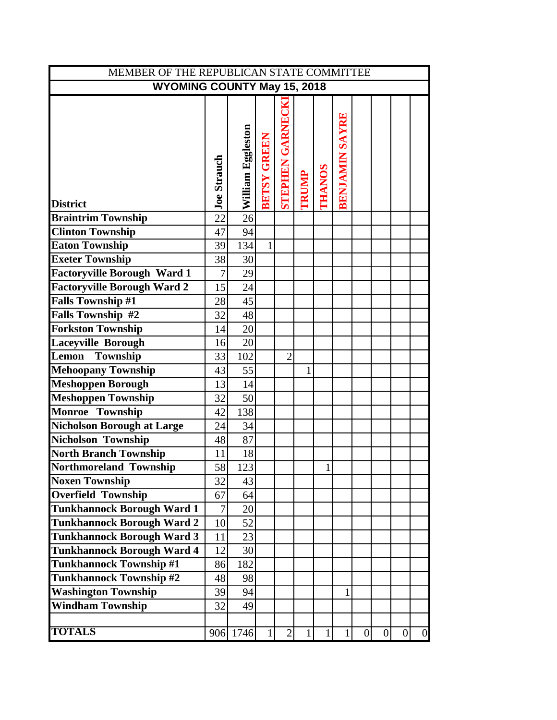| MEMBER OF THE REPUBLICAN STATE COMMITTEE |                    |                   |                    |                        |              |               |                       |                |                |                 |                |  |
|------------------------------------------|--------------------|-------------------|--------------------|------------------------|--------------|---------------|-----------------------|----------------|----------------|-----------------|----------------|--|
| <b>WYOMING COUNTY May 15, 2018</b>       |                    |                   |                    |                        |              |               |                       |                |                |                 |                |  |
|                                          |                    |                   |                    |                        |              |               |                       |                |                |                 |                |  |
|                                          |                    |                   |                    |                        |              |               |                       |                |                |                 |                |  |
|                                          |                    |                   |                    |                        |              |               |                       |                |                |                 |                |  |
|                                          |                    |                   |                    |                        |              |               |                       |                |                |                 |                |  |
|                                          |                    |                   |                    |                        |              |               |                       |                |                |                 |                |  |
|                                          |                    |                   |                    |                        |              |               |                       |                |                |                 |                |  |
|                                          |                    |                   |                    |                        |              |               |                       |                |                |                 |                |  |
| <b>District</b>                          | <b>Joe Strauch</b> | William Eggleston | <b>BETSY GREEN</b> | <b>STEPHEN GARNECK</b> | TRUMP        | <b>THANOS</b> | <b>BENJAMIN SAYRE</b> |                |                |                 |                |  |
| <b>Braintrim Township</b>                | 22                 | 26                |                    |                        |              |               |                       |                |                |                 |                |  |
| <b>Clinton Township</b>                  | 47                 | 94                |                    |                        |              |               |                       |                |                |                 |                |  |
| <b>Eaton Township</b>                    | 39                 | 134               | $\mathbf{1}$       |                        |              |               |                       |                |                |                 |                |  |
| <b>Exeter Township</b>                   | 38                 | 30                |                    |                        |              |               |                       |                |                |                 |                |  |
| <b>Factoryville Borough Ward 1</b>       | $\overline{7}$     | 29                |                    |                        |              |               |                       |                |                |                 |                |  |
| <b>Factoryville Borough Ward 2</b>       | 15                 | 24                |                    |                        |              |               |                       |                |                |                 |                |  |
| <b>Falls Township #1</b>                 | 28                 | 45                |                    |                        |              |               |                       |                |                |                 |                |  |
| Falls Township #2                        | 32                 | 48                |                    |                        |              |               |                       |                |                |                 |                |  |
| <b>Forkston Township</b>                 | 14                 | 20                |                    |                        |              |               |                       |                |                |                 |                |  |
| <b>Laceyville Borough</b>                | 16                 | 20                |                    |                        |              |               |                       |                |                |                 |                |  |
| Township<br>Lemon                        | 33                 | 102               |                    | $\overline{2}$         |              |               |                       |                |                |                 |                |  |
| <b>Mehoopany Township</b>                | 43                 | 55                |                    |                        | $\mathbf{1}$ |               |                       |                |                |                 |                |  |
| Meshoppen Borough                        | 13                 | 14                |                    |                        |              |               |                       |                |                |                 |                |  |
| <b>Meshoppen Township</b>                | 32                 | 50                |                    |                        |              |               |                       |                |                |                 |                |  |
| Monroe Township                          | 42                 | 138               |                    |                        |              |               |                       |                |                |                 |                |  |
| <b>Nicholson Borough at Large</b>        | 24                 | 34                |                    |                        |              |               |                       |                |                |                 |                |  |
| Nicholson Township                       | 48                 | 87                |                    |                        |              |               |                       |                |                |                 |                |  |
| <b>North Branch Township</b>             | 11                 | 18                |                    |                        |              |               |                       |                |                |                 |                |  |
| Northmoreland Township                   | 58                 | 123               |                    |                        |              | 1             |                       |                |                |                 |                |  |
| <b>Noxen Township</b>                    | 32                 | 43                |                    |                        |              |               |                       |                |                |                 |                |  |
| <b>Overfield Township</b>                | 67                 | 64                |                    |                        |              |               |                       |                |                |                 |                |  |
| <b>Tunkhannock Borough Ward 1</b>        | 7                  | 20                |                    |                        |              |               |                       |                |                |                 |                |  |
| <b>Tunkhannock Borough Ward 2</b>        | 10                 | 52                |                    |                        |              |               |                       |                |                |                 |                |  |
| <b>Tunkhannock Borough Ward 3</b>        | 11                 | 23                |                    |                        |              |               |                       |                |                |                 |                |  |
| <b>Tunkhannock Borough Ward 4</b>        | 12                 | 30                |                    |                        |              |               |                       |                |                |                 |                |  |
| <b>Tunkhannock Township #1</b>           | 86                 | 182               |                    |                        |              |               |                       |                |                |                 |                |  |
| <b>Tunkhannock Township #2</b>           | 48                 | 98                |                    |                        |              |               |                       |                |                |                 |                |  |
| <b>Washington Township</b>               | 39                 | 94                |                    |                        |              |               | 1                     |                |                |                 |                |  |
| <b>Windham Township</b>                  | 32                 | 49                |                    |                        |              |               |                       |                |                |                 |                |  |
|                                          |                    |                   |                    |                        |              |               |                       |                |                |                 |                |  |
| <b>TOTALS</b>                            |                    | 906 1746          | 1                  | $\overline{2}$         | $\mathbf{1}$ | 1             | $\mathbf{1}$          | $\overline{0}$ | $\overline{0}$ | $\vert 0 \vert$ | $\overline{0}$ |  |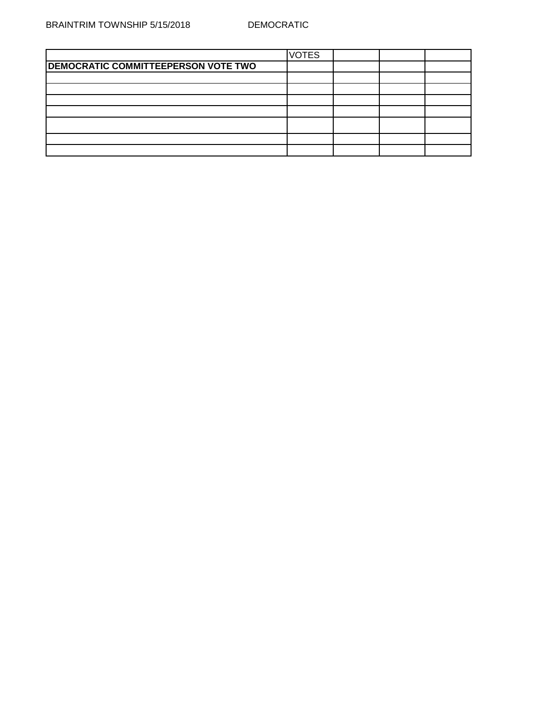|                                            | <b>VOTES</b> |  |  |
|--------------------------------------------|--------------|--|--|
| <b>DEMOCRATIC COMMITTEEPERSON VOTE TWO</b> |              |  |  |
|                                            |              |  |  |
|                                            |              |  |  |
|                                            |              |  |  |
|                                            |              |  |  |
|                                            |              |  |  |
|                                            |              |  |  |
|                                            |              |  |  |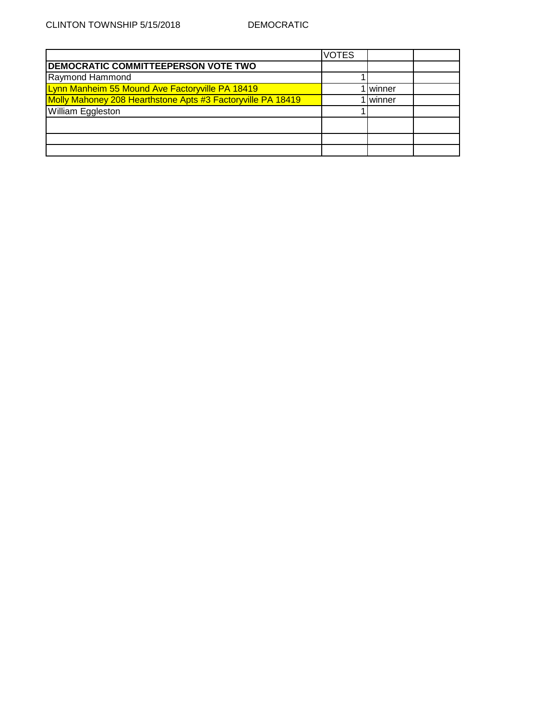|                                                             | <b>VOTES</b> |        |  |
|-------------------------------------------------------------|--------------|--------|--|
| <b>DEMOCRATIC COMMITTEEPERSON VOTE TWO</b>                  |              |        |  |
| Raymond Hammond                                             |              |        |  |
| Lynn Manheim 55 Mound Ave Factoryville PA 18419             |              | winner |  |
| Molly Mahoney 208 Hearthstone Apts #3 Factoryville PA 18419 |              | winner |  |
| <b>William Eggleston</b>                                    |              |        |  |
|                                                             |              |        |  |
|                                                             |              |        |  |
|                                                             |              |        |  |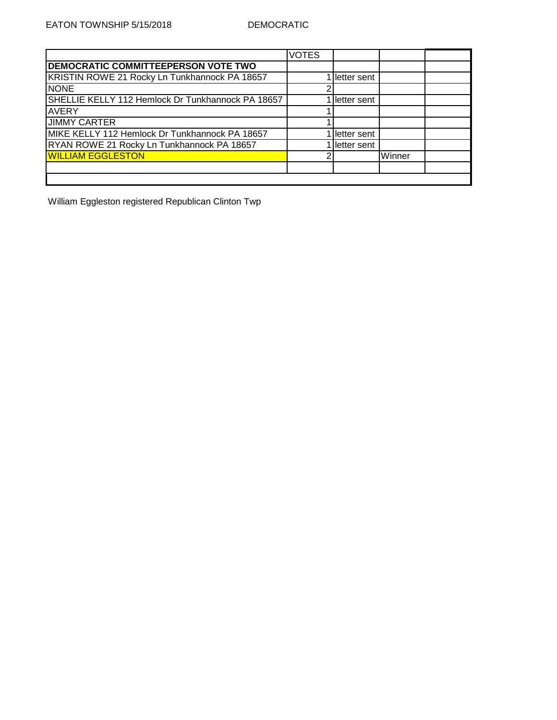|                                                   | <b>VOTES</b> |             |        |  |
|---------------------------------------------------|--------------|-------------|--------|--|
| DEMOCRATIC COMMITTEEPERSON VOTE TWO               |              |             |        |  |
| KRISTIN ROWE 21 Rocky Ln Tunkhannock PA 18657     |              | letter sent |        |  |
| <b>NONE</b>                                       |              |             |        |  |
| SHELLIE KELLY 112 Hemlock Dr Tunkhannock PA 18657 |              | letter sent |        |  |
| <b>AVERY</b>                                      |              |             |        |  |
| <b>JIMMY CARTER</b>                               |              |             |        |  |
| MIKE KELLY 112 Hemlock Dr Tunkhannock PA 18657    |              | letter sent |        |  |
| RYAN ROWE 21 Rocky Ln Tunkhannock PA 18657        |              | letter sent |        |  |
| <b>WILLIAM EGGLESTON</b>                          |              |             | Winner |  |
|                                                   |              |             |        |  |
|                                                   |              |             |        |  |

William Eggleston registered Republican Clinton Twp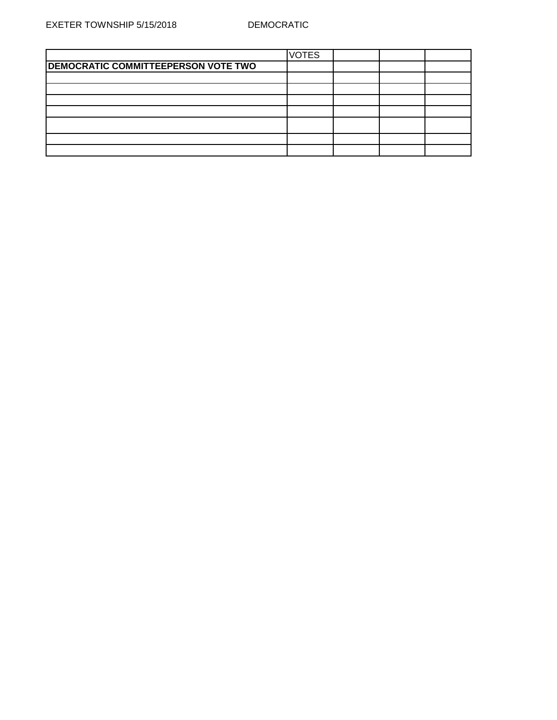|                                     | <b>VOTES</b> |  |  |
|-------------------------------------|--------------|--|--|
| DEMOCRATIC COMMITTEEPERSON VOTE TWO |              |  |  |
|                                     |              |  |  |
|                                     |              |  |  |
|                                     |              |  |  |
|                                     |              |  |  |
|                                     |              |  |  |
|                                     |              |  |  |
|                                     |              |  |  |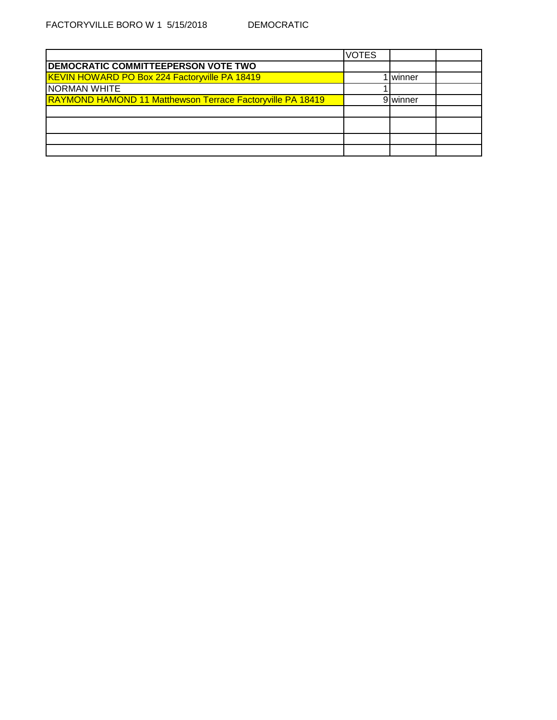|                                                                   | <b>VOTES</b> |          |  |
|-------------------------------------------------------------------|--------------|----------|--|
| <b>DEMOCRATIC COMMITTEEPERSON VOTE TWO</b>                        |              |          |  |
| <b>KEVIN HOWARD PO Box 224 Factoryville PA 18419</b>              |              | winner   |  |
| <b>NORMAN WHITE</b>                                               |              |          |  |
| <b>RAYMOND HAMOND 11 Matthewson Terrace Factoryville PA 18419</b> |              | 9 winner |  |
|                                                                   |              |          |  |
|                                                                   |              |          |  |
|                                                                   |              |          |  |
|                                                                   |              |          |  |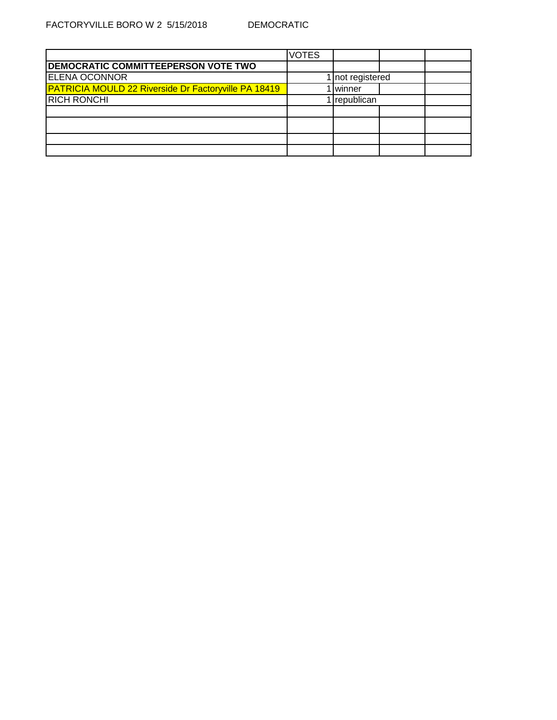|                                                      | <b>VOTES</b> |                 |  |
|------------------------------------------------------|--------------|-----------------|--|
| <b>DEMOCRATIC COMMITTEEPERSON VOTE TWO</b>           |              |                 |  |
| <b>ELENA OCONNOR</b>                                 |              | not registered  |  |
| PATRICIA MOULD 22 Riverside Dr Factoryville PA 18419 |              | <b>I</b> winner |  |
| <b>RICH RONCHI</b>                                   |              | republican      |  |
|                                                      |              |                 |  |
|                                                      |              |                 |  |
|                                                      |              |                 |  |
|                                                      |              |                 |  |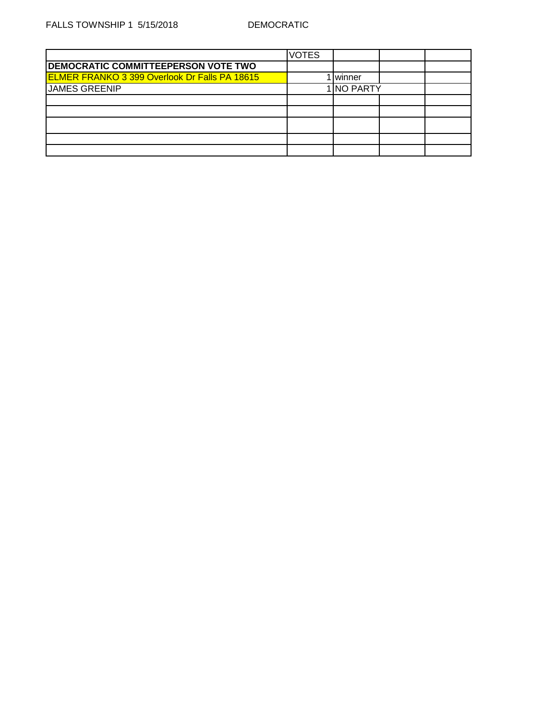|                                                      | <b>VOTES</b> |                 |  |
|------------------------------------------------------|--------------|-----------------|--|
| <b>DEMOCRATIC COMMITTEEPERSON VOTE TWO</b>           |              |                 |  |
| <b>ELMER FRANKO 3 399 Overlook Dr Falls PA 18615</b> |              | <b>I</b> winner |  |
| JAMES GREENIP                                        |              | 1 NO PARTY      |  |
|                                                      |              |                 |  |
|                                                      |              |                 |  |
|                                                      |              |                 |  |
|                                                      |              |                 |  |
|                                                      |              |                 |  |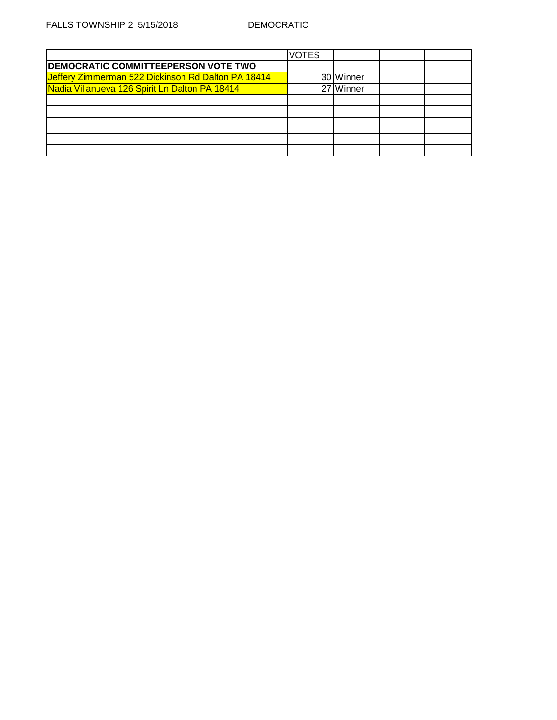|                                                    | VOTES |           |  |
|----------------------------------------------------|-------|-----------|--|
| <b>DEMOCRATIC COMMITTEEPERSON VOTE TWO</b>         |       |           |  |
| Jeffery Zimmerman 522 Dickinson Rd Dalton PA 18414 |       | 30 Winner |  |
| Nadia Villanueva 126 Spirit Ln Dalton PA 18414     |       | 27 Winner |  |
|                                                    |       |           |  |
|                                                    |       |           |  |
|                                                    |       |           |  |
|                                                    |       |           |  |
|                                                    |       |           |  |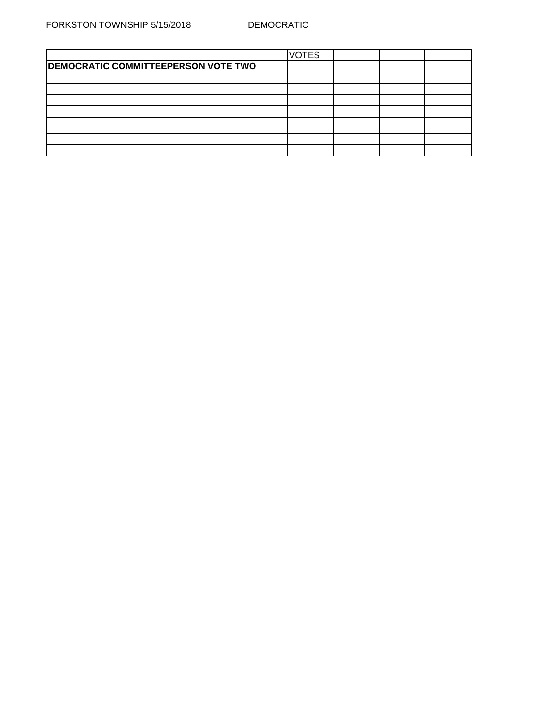|                                            | <b>VOTES</b> |  |  |
|--------------------------------------------|--------------|--|--|
| <b>DEMOCRATIC COMMITTEEPERSON VOTE TWO</b> |              |  |  |
|                                            |              |  |  |
|                                            |              |  |  |
|                                            |              |  |  |
|                                            |              |  |  |
|                                            |              |  |  |
|                                            |              |  |  |
|                                            |              |  |  |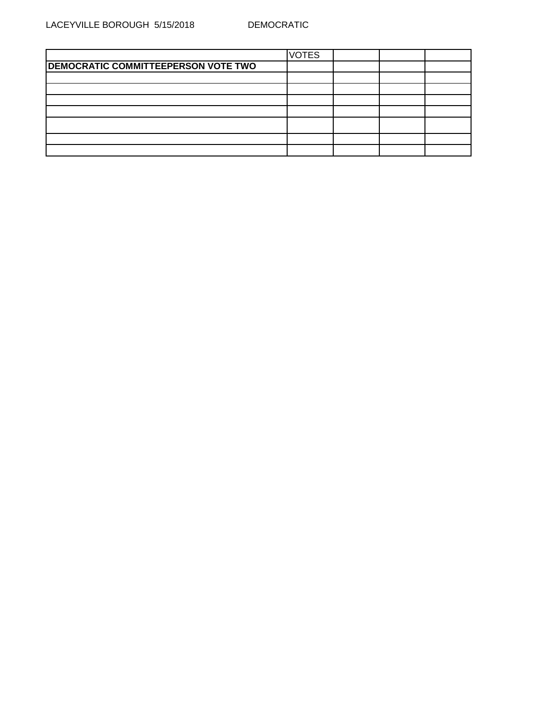|                                     | <b>VOTES</b> |  |  |
|-------------------------------------|--------------|--|--|
| DEMOCRATIC COMMITTEEPERSON VOTE TWO |              |  |  |
|                                     |              |  |  |
|                                     |              |  |  |
|                                     |              |  |  |
|                                     |              |  |  |
|                                     |              |  |  |
|                                     |              |  |  |
|                                     |              |  |  |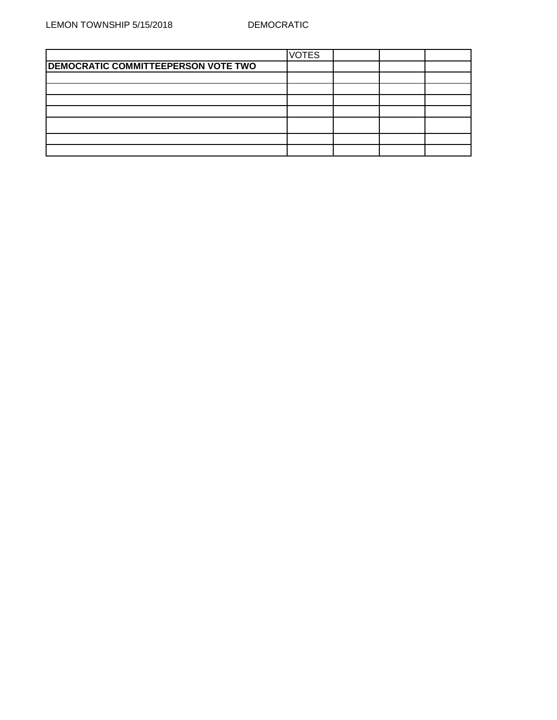|                                     | <b>VOTES</b> |  |  |
|-------------------------------------|--------------|--|--|
| DEMOCRATIC COMMITTEEPERSON VOTE TWO |              |  |  |
|                                     |              |  |  |
|                                     |              |  |  |
|                                     |              |  |  |
|                                     |              |  |  |
|                                     |              |  |  |
|                                     |              |  |  |
|                                     |              |  |  |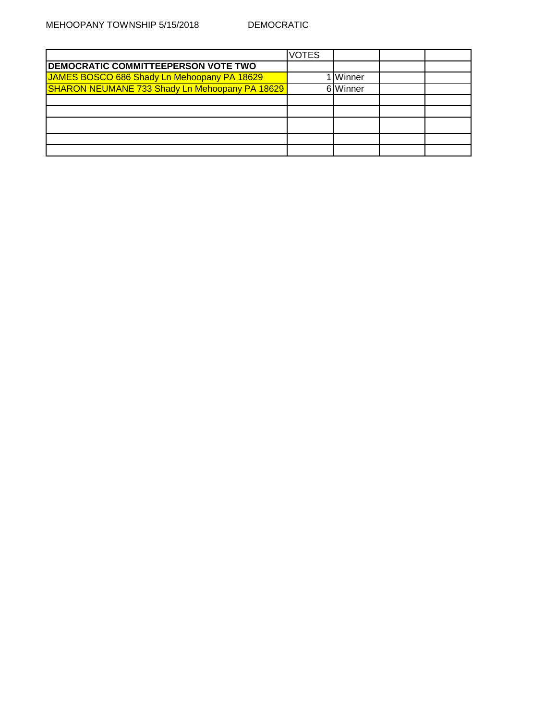|                                                | VOTES |                   |  |
|------------------------------------------------|-------|-------------------|--|
| <b>DEMOCRATIC COMMITTEEPERSON VOTE TWO</b>     |       |                   |  |
| JAMES BOSCO 686 Shady Ln Mehoopany PA 18629    |       | . <b>I</b> Winner |  |
| SHARON NEUMANE 733 Shady Ln Mehoopany PA 18629 |       | 6 Winner          |  |
|                                                |       |                   |  |
|                                                |       |                   |  |
|                                                |       |                   |  |
|                                                |       |                   |  |
|                                                |       |                   |  |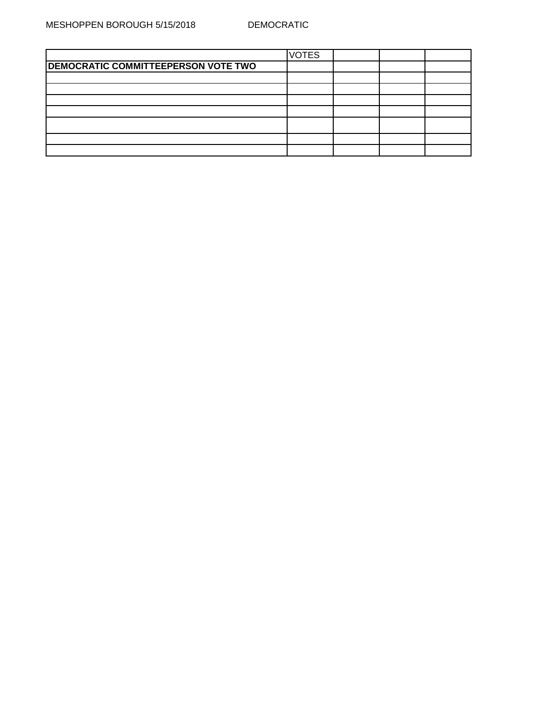|                                            | <b>VOTES</b> |  |  |
|--------------------------------------------|--------------|--|--|
| <b>DEMOCRATIC COMMITTEEPERSON VOTE TWO</b> |              |  |  |
|                                            |              |  |  |
|                                            |              |  |  |
|                                            |              |  |  |
|                                            |              |  |  |
|                                            |              |  |  |
|                                            |              |  |  |
|                                            |              |  |  |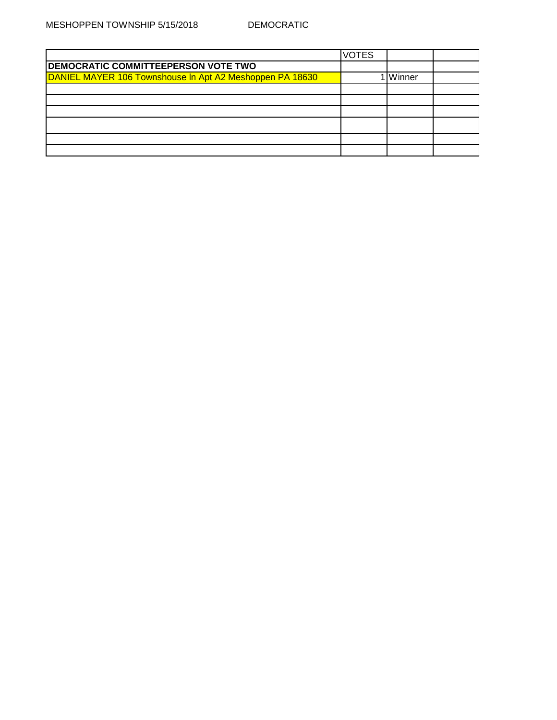|                                                          | <b>VOTES</b> |        |  |
|----------------------------------------------------------|--------------|--------|--|
| <b>DEMOCRATIC COMMITTEEPERSON VOTE TWO</b>               |              |        |  |
| DANIEL MAYER 106 Townshouse In Apt A2 Meshoppen PA 18630 |              | Winner |  |
|                                                          |              |        |  |
|                                                          |              |        |  |
|                                                          |              |        |  |
|                                                          |              |        |  |
|                                                          |              |        |  |
|                                                          |              |        |  |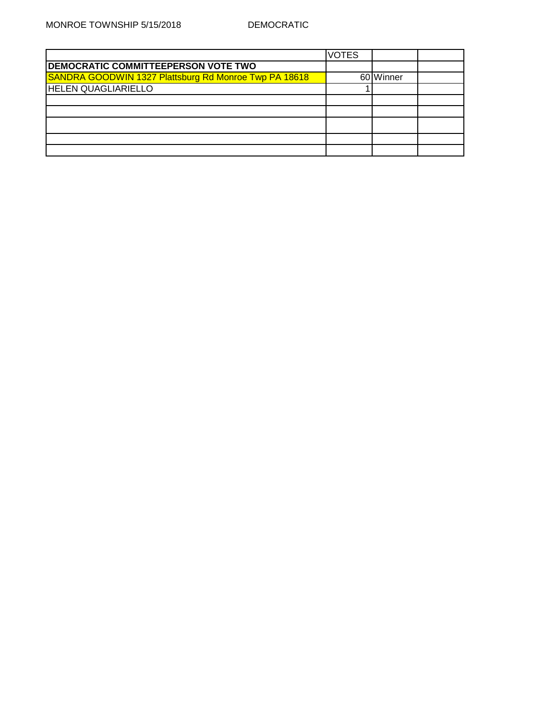|                                                       | <b>VOTES</b> |           |  |
|-------------------------------------------------------|--------------|-----------|--|
| <b>DEMOCRATIC COMMITTEEPERSON VOTE TWO</b>            |              |           |  |
| SANDRA GOODWIN 1327 Plattsburg Rd Monroe Twp PA 18618 |              | 60 Winner |  |
| <b>HELEN QUAGLIARIELLO</b>                            |              |           |  |
|                                                       |              |           |  |
|                                                       |              |           |  |
|                                                       |              |           |  |
|                                                       |              |           |  |
|                                                       |              |           |  |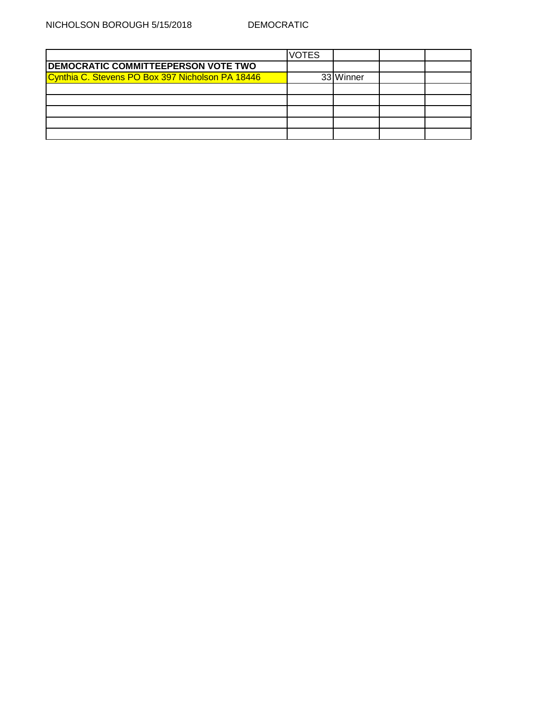|                                                  | <b>VOTES</b> |           |  |
|--------------------------------------------------|--------------|-----------|--|
| <b>DEMOCRATIC COMMITTEEPERSON VOTE TWO</b>       |              |           |  |
| Cynthia C. Stevens PO Box 397 Nicholson PA 18446 |              | 33 Winner |  |
|                                                  |              |           |  |
|                                                  |              |           |  |
|                                                  |              |           |  |
|                                                  |              |           |  |
|                                                  |              |           |  |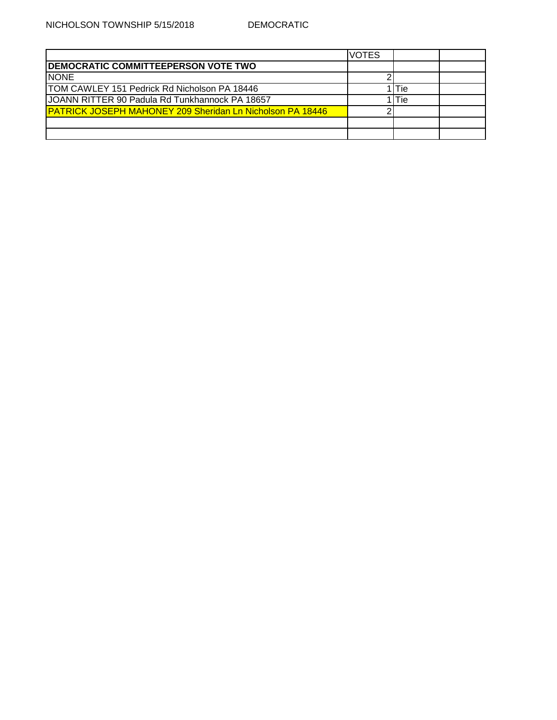|                                                                   | <b>VOTES</b> |            |  |
|-------------------------------------------------------------------|--------------|------------|--|
| <b>IDEMOCRATIC COMMITTEEPERSON VOTE TWO</b>                       |              |            |  |
| <b>NONE</b>                                                       |              |            |  |
| <b>ITOM CAWLEY 151 Pedrick Rd Nicholson PA 18446</b>              |              | Tie        |  |
| JOANN RITTER 90 Padula Rd Tunkhannock PA 18657                    |              | <b>Tie</b> |  |
| <b>IPATRICK JOSEPH MAHONEY 209 Sheridan Ln Nicholson PA 18446</b> |              |            |  |
|                                                                   |              |            |  |
|                                                                   |              |            |  |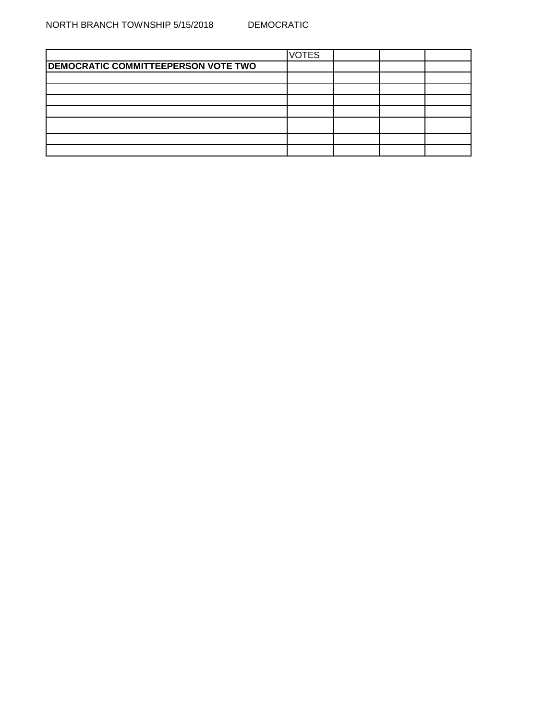|                                            | <b>VOTES</b> |  |  |
|--------------------------------------------|--------------|--|--|
| <b>DEMOCRATIC COMMITTEEPERSON VOTE TWO</b> |              |  |  |
|                                            |              |  |  |
|                                            |              |  |  |
|                                            |              |  |  |
|                                            |              |  |  |
|                                            |              |  |  |
|                                            |              |  |  |
|                                            |              |  |  |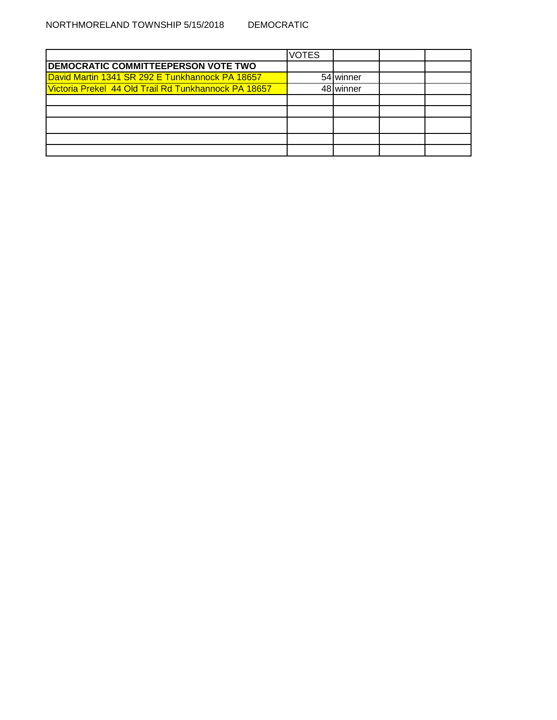|                                                      | <b>VOTES</b> |                    |  |
|------------------------------------------------------|--------------|--------------------|--|
| <b>DEMOCRATIC COMMITTEEPERSON VOTE TWO</b>           |              |                    |  |
| David Martin 1341 SR 292 E Tunkhannock PA 18657      |              | 54 winner          |  |
| Victoria Prekel 44 Old Trail Rd Tunkhannock PA 18657 |              | 48 <b>I</b> winner |  |
|                                                      |              |                    |  |
|                                                      |              |                    |  |
|                                                      |              |                    |  |
|                                                      |              |                    |  |
|                                                      |              |                    |  |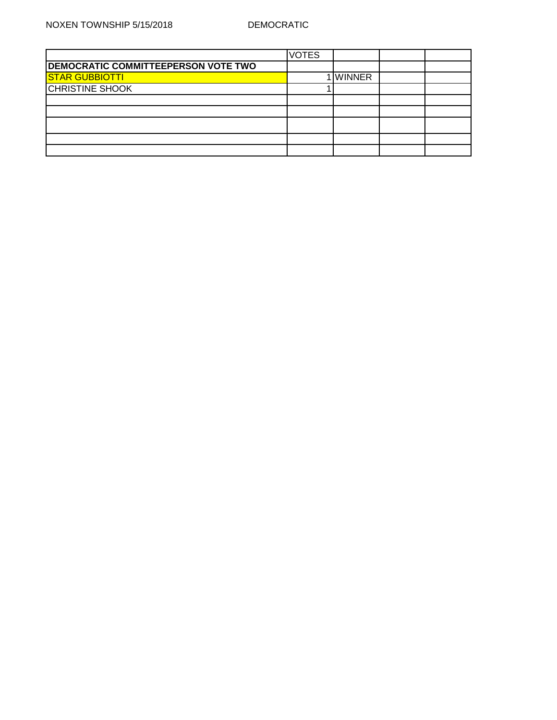|                                            | <b>VOTES</b> |               |  |
|--------------------------------------------|--------------|---------------|--|
| <b>DEMOCRATIC COMMITTEEPERSON VOTE TWO</b> |              |               |  |
| <b>STAR GUBBIOTTI</b>                      |              | <b>WINNER</b> |  |
| <b>CHRISTINE SHOOK</b>                     |              |               |  |
|                                            |              |               |  |
|                                            |              |               |  |
|                                            |              |               |  |
|                                            |              |               |  |
|                                            |              |               |  |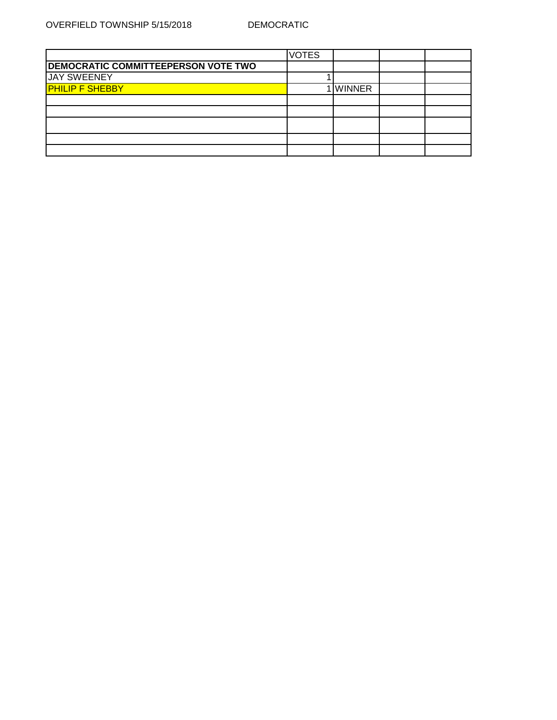|                                            | <b>VOTES</b> |               |  |
|--------------------------------------------|--------------|---------------|--|
| <b>DEMOCRATIC COMMITTEEPERSON VOTE TWO</b> |              |               |  |
| <b>JAY SWEENEY</b>                         |              |               |  |
| <b>PHILIP F SHEBBY</b>                     |              | <b>WINNER</b> |  |
|                                            |              |               |  |
|                                            |              |               |  |
|                                            |              |               |  |
|                                            |              |               |  |
|                                            |              |               |  |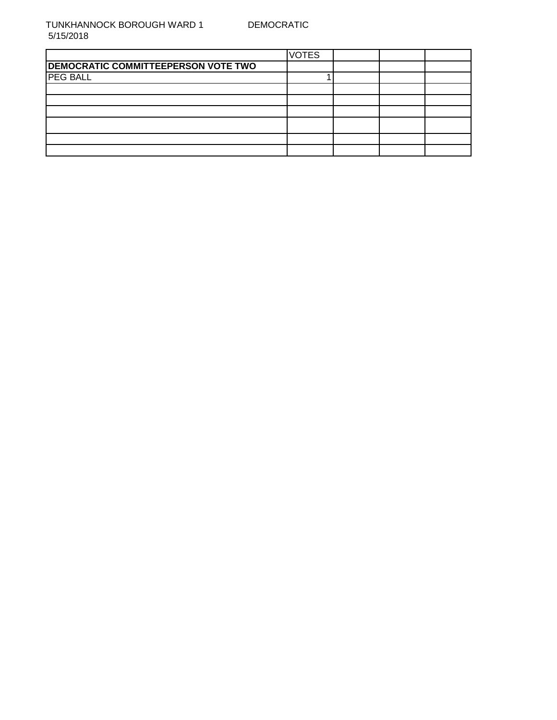TUNKHANNOCK BOROUGH WARD 1 5/15/2018

|                                            | <b>VOTES</b> |  |  |
|--------------------------------------------|--------------|--|--|
| <b>DEMOCRATIC COMMITTEEPERSON VOTE TWO</b> |              |  |  |
| <b>PEG BALL</b>                            |              |  |  |
|                                            |              |  |  |
|                                            |              |  |  |
|                                            |              |  |  |
|                                            |              |  |  |
|                                            |              |  |  |
|                                            |              |  |  |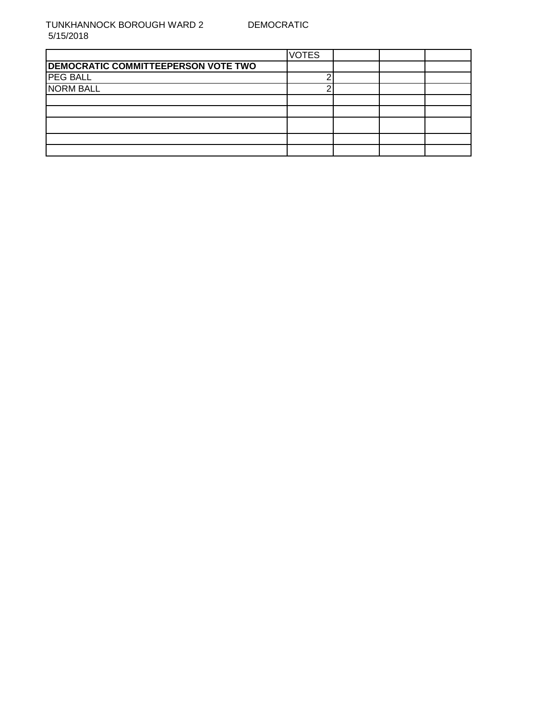TUNKHANNOCK BOROUGH WARD 2 5/15/2018

|                                            | <b>VOTES</b> |  |  |
|--------------------------------------------|--------------|--|--|
| <b>DEMOCRATIC COMMITTEEPERSON VOTE TWO</b> |              |  |  |
| <b>PEG BALL</b>                            |              |  |  |
| <b>NORM BALL</b>                           |              |  |  |
|                                            |              |  |  |
|                                            |              |  |  |
|                                            |              |  |  |
|                                            |              |  |  |
|                                            |              |  |  |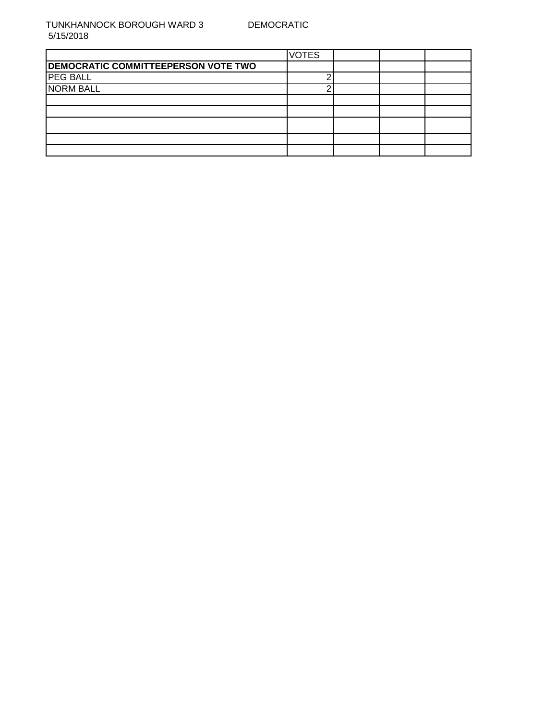TUNKHANNOCK BOROUGH WARD 3 5/15/2018

|                                            | <b>VOTES</b> |  |  |
|--------------------------------------------|--------------|--|--|
| <b>DEMOCRATIC COMMITTEEPERSON VOTE TWO</b> |              |  |  |
| <b>PEG BALL</b>                            |              |  |  |
| <b>NORM BALL</b>                           |              |  |  |
|                                            |              |  |  |
|                                            |              |  |  |
|                                            |              |  |  |
|                                            |              |  |  |
|                                            |              |  |  |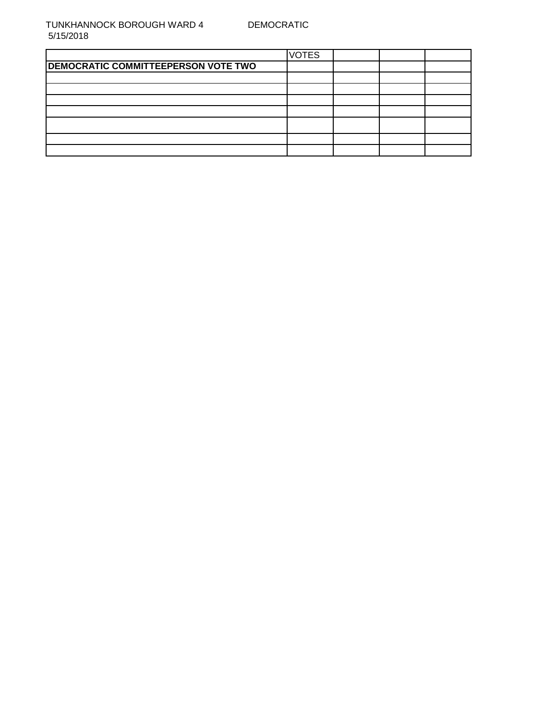|                                     | <b>VOTES</b> |  |  |
|-------------------------------------|--------------|--|--|
| DEMOCRATIC COMMITTEEPERSON VOTE TWO |              |  |  |
|                                     |              |  |  |
|                                     |              |  |  |
|                                     |              |  |  |
|                                     |              |  |  |
|                                     |              |  |  |
|                                     |              |  |  |
|                                     |              |  |  |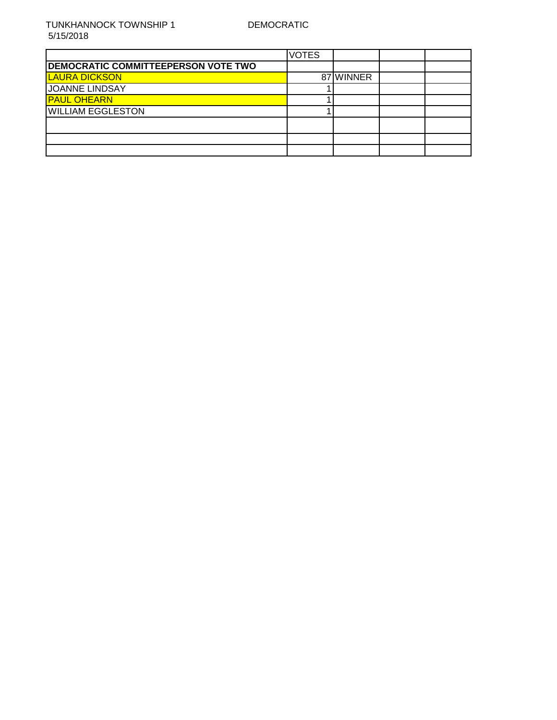|                                            | <b>VOTES</b> |           |  |
|--------------------------------------------|--------------|-----------|--|
| <b>DEMOCRATIC COMMITTEEPERSON VOTE TWO</b> |              |           |  |
| <b>LAURA DICKSON</b>                       |              | 87 WINNER |  |
| <b>JOANNE LINDSAY</b>                      |              |           |  |
| <b>PAUL OHEARN</b>                         |              |           |  |
| <b>WILLIAM EGGLESTON</b>                   |              |           |  |
|                                            |              |           |  |
|                                            |              |           |  |
|                                            |              |           |  |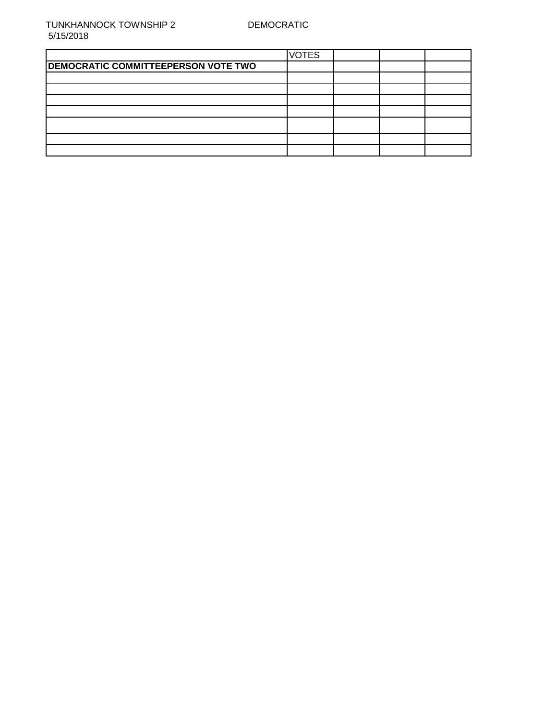|                                            | <b>VOTES</b> |  |  |
|--------------------------------------------|--------------|--|--|
| <b>DEMOCRATIC COMMITTEEPERSON VOTE TWO</b> |              |  |  |
|                                            |              |  |  |
|                                            |              |  |  |
|                                            |              |  |  |
|                                            |              |  |  |
|                                            |              |  |  |
|                                            |              |  |  |
|                                            |              |  |  |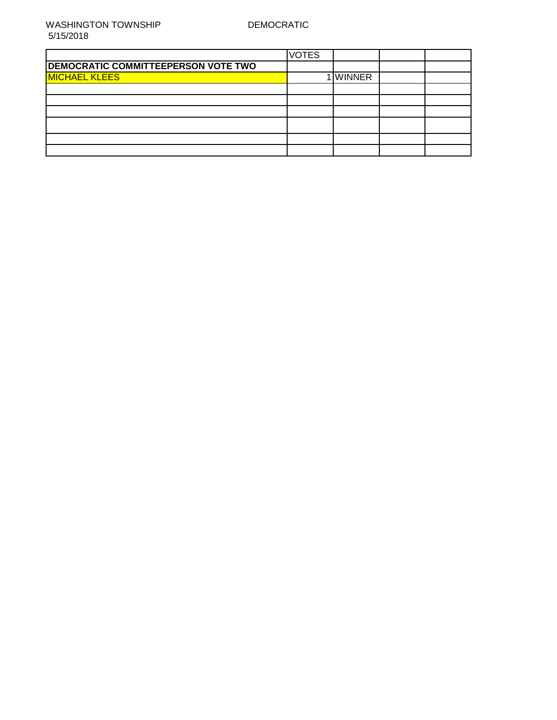|                                            | <b>VOTES</b> |               |  |
|--------------------------------------------|--------------|---------------|--|
| <b>DEMOCRATIC COMMITTEEPERSON VOTE TWO</b> |              |               |  |
| <b>MICHAEL KLEES</b>                       |              | <b>WINNER</b> |  |
|                                            |              |               |  |
|                                            |              |               |  |
|                                            |              |               |  |
|                                            |              |               |  |
|                                            |              |               |  |
|                                            |              |               |  |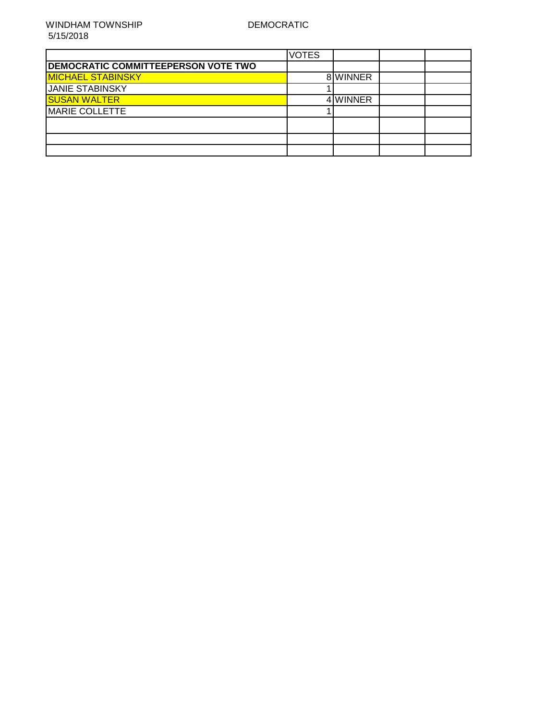|                                            | <b>VOTES</b> |          |  |
|--------------------------------------------|--------------|----------|--|
| <b>DEMOCRATIC COMMITTEEPERSON VOTE TWO</b> |              |          |  |
| <b>MICHAEL STABINSKY</b>                   |              | 8 WINNER |  |
| <b>JANIE STABINSKY</b>                     |              |          |  |
| <b>SUSAN WALTER</b>                        |              | 4 WINNER |  |
| <b>MARIE COLLETTE</b>                      |              |          |  |
|                                            |              |          |  |
|                                            |              |          |  |
|                                            |              |          |  |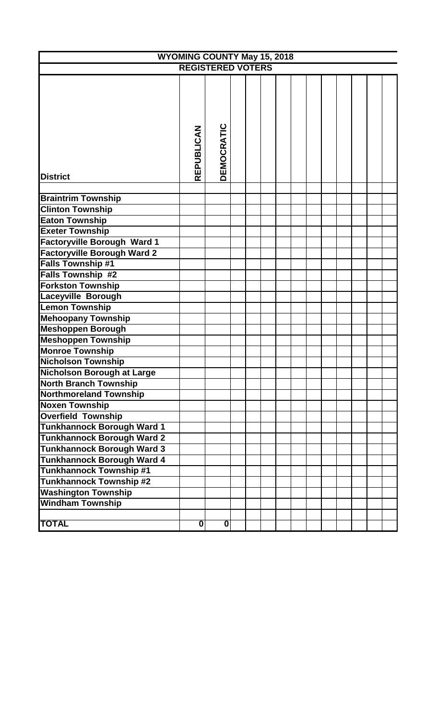| <b>WYOMING COUNTY May 15, 2018</b> |                         |                          |  |  |  |  |  |  |  |  |
|------------------------------------|-------------------------|--------------------------|--|--|--|--|--|--|--|--|
|                                    |                         | <b>REGISTERED VOTERS</b> |  |  |  |  |  |  |  |  |
|                                    |                         |                          |  |  |  |  |  |  |  |  |
|                                    |                         |                          |  |  |  |  |  |  |  |  |
|                                    |                         |                          |  |  |  |  |  |  |  |  |
|                                    |                         |                          |  |  |  |  |  |  |  |  |
|                                    |                         |                          |  |  |  |  |  |  |  |  |
|                                    |                         |                          |  |  |  |  |  |  |  |  |
|                                    |                         |                          |  |  |  |  |  |  |  |  |
|                                    |                         |                          |  |  |  |  |  |  |  |  |
|                                    |                         |                          |  |  |  |  |  |  |  |  |
| <b>District</b>                    | REPUBLICAN              | DEMOCRATIC               |  |  |  |  |  |  |  |  |
|                                    |                         |                          |  |  |  |  |  |  |  |  |
| <b>Braintrim Township</b>          |                         |                          |  |  |  |  |  |  |  |  |
| <b>Clinton Township</b>            |                         |                          |  |  |  |  |  |  |  |  |
| <b>Eaton Township</b>              |                         |                          |  |  |  |  |  |  |  |  |
| <b>Exeter Township</b>             |                         |                          |  |  |  |  |  |  |  |  |
| <b>Factoryville Borough Ward 1</b> |                         |                          |  |  |  |  |  |  |  |  |
| <b>Factoryville Borough Ward 2</b> |                         |                          |  |  |  |  |  |  |  |  |
| <b>Falls Township #1</b>           |                         |                          |  |  |  |  |  |  |  |  |
| Falls Township #2                  |                         |                          |  |  |  |  |  |  |  |  |
| <b>Forkston Township</b>           |                         |                          |  |  |  |  |  |  |  |  |
| Laceyville Borough                 |                         |                          |  |  |  |  |  |  |  |  |
| <b>Lemon Township</b>              |                         |                          |  |  |  |  |  |  |  |  |
| <b>Mehoopany Township</b>          |                         |                          |  |  |  |  |  |  |  |  |
| <b>Meshoppen Borough</b>           |                         |                          |  |  |  |  |  |  |  |  |
| <b>Meshoppen Township</b>          |                         |                          |  |  |  |  |  |  |  |  |
| <b>Monroe Township</b>             |                         |                          |  |  |  |  |  |  |  |  |
| <b>Nicholson Township</b>          |                         |                          |  |  |  |  |  |  |  |  |
| Nicholson Borough at Large         |                         |                          |  |  |  |  |  |  |  |  |
| <b>North Branch Township</b>       |                         |                          |  |  |  |  |  |  |  |  |
| <b>Northmoreland Township</b>      |                         |                          |  |  |  |  |  |  |  |  |
| <b>Noxen Township</b>              |                         |                          |  |  |  |  |  |  |  |  |
| <b>Overfield Township</b>          |                         |                          |  |  |  |  |  |  |  |  |
| <b>Tunkhannock Borough Ward 1</b>  |                         |                          |  |  |  |  |  |  |  |  |
| <b>Tunkhannock Borough Ward 2</b>  |                         |                          |  |  |  |  |  |  |  |  |
| <b>Tunkhannock Borough Ward 3</b>  |                         |                          |  |  |  |  |  |  |  |  |
| <b>Tunkhannock Borough Ward 4</b>  |                         |                          |  |  |  |  |  |  |  |  |
| <b>Tunkhannock Township #1</b>     |                         |                          |  |  |  |  |  |  |  |  |
| <b>Tunkhannock Township #2</b>     |                         |                          |  |  |  |  |  |  |  |  |
| <b>Washington Township</b>         |                         |                          |  |  |  |  |  |  |  |  |
| <b>Windham Township</b>            |                         |                          |  |  |  |  |  |  |  |  |
|                                    |                         |                          |  |  |  |  |  |  |  |  |
| <b>TOTAL</b>                       | $\overline{\mathbf{0}}$ | 01                       |  |  |  |  |  |  |  |  |